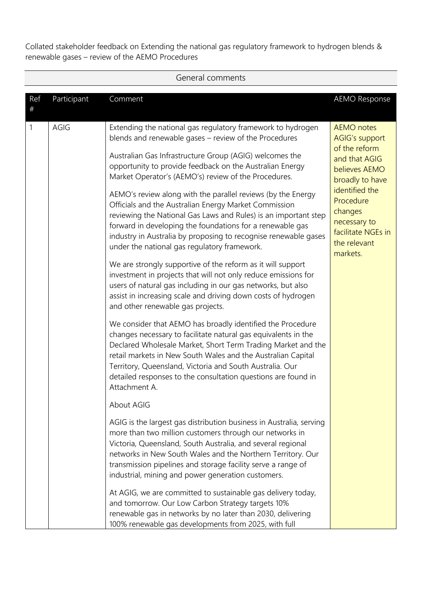|             | General comments |                                                                                                                                                                                                                                                                                                                                                                                                            |                                                                                                                  |  |  |  |  |  |
|-------------|------------------|------------------------------------------------------------------------------------------------------------------------------------------------------------------------------------------------------------------------------------------------------------------------------------------------------------------------------------------------------------------------------------------------------------|------------------------------------------------------------------------------------------------------------------|--|--|--|--|--|
| Ref<br>$\#$ | Participant      | Comment                                                                                                                                                                                                                                                                                                                                                                                                    | <b>AEMO Response</b>                                                                                             |  |  |  |  |  |
| 1           | AGIG             | Extending the national gas regulatory framework to hydrogen<br>blends and renewable gases - review of the Procedures<br>Australian Gas Infrastructure Group (AGIG) welcomes the<br>opportunity to provide feedback on the Australian Energy<br>Market Operator's (AEMO's) review of the Procedures.                                                                                                        | <b>AEMO</b> notes<br><b>AGIG's support</b><br>of the reform<br>and that AGIG<br>believes AEMO<br>broadly to have |  |  |  |  |  |
|             |                  | AEMO's review along with the parallel reviews (by the Energy<br>Officials and the Australian Energy Market Commission<br>reviewing the National Gas Laws and Rules) is an important step<br>forward in developing the foundations for a renewable gas<br>industry in Australia by proposing to recognise renewable gases<br>under the national gas regulatory framework.                                   | identified the<br>Procedure<br>changes<br>necessary to<br>facilitate NGEs in<br>the relevant<br>markets.         |  |  |  |  |  |
|             |                  | We are strongly supportive of the reform as it will support<br>investment in projects that will not only reduce emissions for<br>users of natural gas including in our gas networks, but also<br>assist in increasing scale and driving down costs of hydrogen<br>and other renewable gas projects.                                                                                                        |                                                                                                                  |  |  |  |  |  |
|             |                  | We consider that AEMO has broadly identified the Procedure<br>changes necessary to facilitate natural gas equivalents in the<br>Declared Wholesale Market, Short Term Trading Market and the<br>retail markets in New South Wales and the Australian Capital<br>Territory, Queensland, Victoria and South Australia. Our<br>detailed responses to the consultation questions are found in<br>Attachment A. |                                                                                                                  |  |  |  |  |  |
|             |                  | About AGIG                                                                                                                                                                                                                                                                                                                                                                                                 |                                                                                                                  |  |  |  |  |  |
|             |                  | AGIG is the largest gas distribution business in Australia, serving<br>more than two million customers through our networks in<br>Victoria, Queensland, South Australia, and several regional<br>networks in New South Wales and the Northern Territory. Our<br>transmission pipelines and storage facility serve a range of<br>industrial, mining and power generation customers.                         |                                                                                                                  |  |  |  |  |  |
|             |                  | At AGIG, we are committed to sustainable gas delivery today,<br>and tomorrow. Our Low Carbon Strategy targets 10%<br>renewable gas in networks by no later than 2030, delivering<br>100% renewable gas developments from 2025, with full                                                                                                                                                                   |                                                                                                                  |  |  |  |  |  |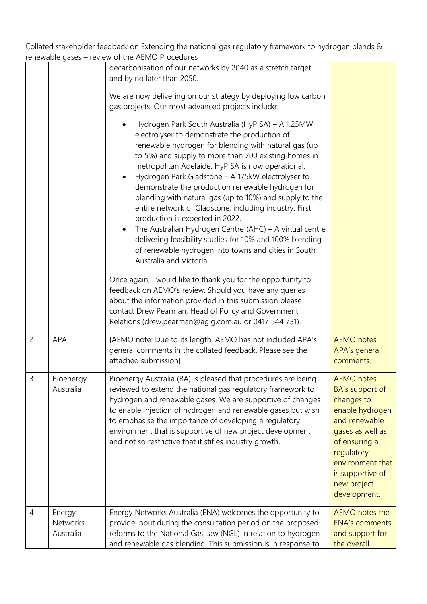|                |                                 | Terrewable gases – review of the ALIVIO Procedures                                                                                                                                                                                                                                                                                                                                                                                                                                                                                                                                                                                                                                                                                                                                                                                                                                                                                                                                                 |                                                                                                                                                                                                                  |
|----------------|---------------------------------|----------------------------------------------------------------------------------------------------------------------------------------------------------------------------------------------------------------------------------------------------------------------------------------------------------------------------------------------------------------------------------------------------------------------------------------------------------------------------------------------------------------------------------------------------------------------------------------------------------------------------------------------------------------------------------------------------------------------------------------------------------------------------------------------------------------------------------------------------------------------------------------------------------------------------------------------------------------------------------------------------|------------------------------------------------------------------------------------------------------------------------------------------------------------------------------------------------------------------|
|                |                                 | decarbonisation of our networks by 2040 as a stretch target<br>and by no later than 2050.                                                                                                                                                                                                                                                                                                                                                                                                                                                                                                                                                                                                                                                                                                                                                                                                                                                                                                          |                                                                                                                                                                                                                  |
|                |                                 | We are now delivering on our strategy by deploying low carbon<br>gas projects. Our most advanced projects include:                                                                                                                                                                                                                                                                                                                                                                                                                                                                                                                                                                                                                                                                                                                                                                                                                                                                                 |                                                                                                                                                                                                                  |
|                |                                 | Hydrogen Park South Australia (HyP SA) - A 1.25MW<br>electrolyser to demonstrate the production of<br>renewable hydrogen for blending with natural gas (up<br>to 5%) and supply to more than 700 existing homes in<br>metropolitan Adelaide. HyP SA is now operational.<br>Hydrogen Park Gladstone - A 175kW electrolyser to<br>demonstrate the production renewable hydrogen for<br>blending with natural gas (up to 10%) and supply to the<br>entire network of Gladstone, including industry. First<br>production is expected in 2022.<br>The Australian Hydrogen Centre (AHC) $-$ A virtual centre<br>delivering feasibility studies for 10% and 100% blending<br>of renewable hydrogen into towns and cities in South<br>Australia and Victoria.<br>Once again, I would like to thank you for the opportunity to<br>feedback on AEMO's review. Should you have any queries<br>about the information provided in this submission please<br>contact Drew Pearman, Head of Policy and Government |                                                                                                                                                                                                                  |
|                |                                 | Relations (drew.pearman@agig.com.au or 0417 544 731).                                                                                                                                                                                                                                                                                                                                                                                                                                                                                                                                                                                                                                                                                                                                                                                                                                                                                                                                              |                                                                                                                                                                                                                  |
| $\overline{c}$ | <b>APA</b>                      | [AEMO note: Due to its length, AEMO has not included APA's<br>general comments in the collated feedback. Please see the<br>attached submission]                                                                                                                                                                                                                                                                                                                                                                                                                                                                                                                                                                                                                                                                                                                                                                                                                                                    | <b>AEMO</b> notes<br>APA's general<br>comments.                                                                                                                                                                  |
| 3              | Bioenergy<br>Australia          | Bioenergy Australia (BA) is pleased that procedures are being<br>reviewed to extend the national gas regulatory framework to<br>hydrogen and renewable gases. We are supportive of changes<br>to enable injection of hydrogen and renewable gases but wish<br>to emphasise the importance of developing a regulatory<br>environment that is supportive of new project development,<br>and not so restrictive that it stifles industry growth.                                                                                                                                                                                                                                                                                                                                                                                                                                                                                                                                                      | <b>AEMO</b> notes<br>BA's support of<br>changes to<br>enable hydrogen<br>and renewable<br>gases as well as<br>of ensuring a<br>regulatory<br>environment that<br>is supportive of<br>new project<br>development. |
| $\overline{4}$ | Energy<br>Networks<br>Australia | Energy Networks Australia (ENA) welcomes the opportunity to<br>provide input during the consultation period on the proposed<br>reforms to the National Gas Law (NGL) in relation to hydrogen<br>and renewable gas blending. This submission is in response to                                                                                                                                                                                                                                                                                                                                                                                                                                                                                                                                                                                                                                                                                                                                      | AEMO notes the<br><b>ENA's comments</b><br>and support for<br>the overall                                                                                                                                        |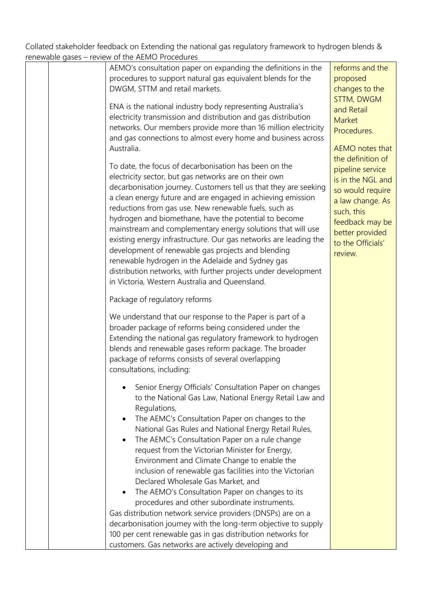| FLICWADIC GASES – FEVIEW OF THE ALIVIO FTOCCUTIES                                                                                                                                                                                                                                                                                                                                                                                                                                                                                                                                                                                                                                                                                                                                                                                                              |                                                                                                                                                                                        |
|----------------------------------------------------------------------------------------------------------------------------------------------------------------------------------------------------------------------------------------------------------------------------------------------------------------------------------------------------------------------------------------------------------------------------------------------------------------------------------------------------------------------------------------------------------------------------------------------------------------------------------------------------------------------------------------------------------------------------------------------------------------------------------------------------------------------------------------------------------------|----------------------------------------------------------------------------------------------------------------------------------------------------------------------------------------|
| AEMO's consultation paper on expanding the definitions in the<br>procedures to support natural gas equivalent blends for the<br>DWGM, STTM and retail markets.                                                                                                                                                                                                                                                                                                                                                                                                                                                                                                                                                                                                                                                                                                 | reforms and the<br>proposed<br>changes to the<br><b>STTM, DWGM</b>                                                                                                                     |
| ENA is the national industry body representing Australia's<br>electricity transmission and distribution and gas distribution<br>networks. Our members provide more than 16 million electricity<br>and gas connections to almost every home and business across                                                                                                                                                                                                                                                                                                                                                                                                                                                                                                                                                                                                 | and Retail<br>Market<br>Procedures.                                                                                                                                                    |
| Australia.                                                                                                                                                                                                                                                                                                                                                                                                                                                                                                                                                                                                                                                                                                                                                                                                                                                     | AEMO notes that                                                                                                                                                                        |
| To date, the focus of decarbonisation has been on the<br>electricity sector, but gas networks are on their own<br>decarbonisation journey. Customers tell us that they are seeking<br>a clean energy future and are engaged in achieving emission<br>reductions from gas use. New renewable fuels, such as<br>hydrogen and biomethane, have the potential to become<br>mainstream and complementary energy solutions that will use<br>existing energy infrastructure. Our gas networks are leading the<br>development of renewable gas projects and blending<br>renewable hydrogen in the Adelaide and Sydney gas<br>distribution networks, with further projects under development<br>in Victoria, Western Australia and Queensland.                                                                                                                          | the definition of<br>pipeline service<br>is in the NGL and<br>so would require<br>a law change. As<br>such, this<br>feedback may be<br>better provided<br>to the Officials'<br>review. |
| Package of regulatory reforms                                                                                                                                                                                                                                                                                                                                                                                                                                                                                                                                                                                                                                                                                                                                                                                                                                  |                                                                                                                                                                                        |
| We understand that our response to the Paper is part of a<br>broader package of reforms being considered under the<br>Extending the national gas regulatory framework to hydrogen<br>blends and renewable gases reform package. The broader<br>package of reforms consists of several overlapping<br>consultations, including:                                                                                                                                                                                                                                                                                                                                                                                                                                                                                                                                 |                                                                                                                                                                                        |
| Senior Energy Officials' Consultation Paper on changes<br>to the National Gas Law, National Energy Retail Law and<br>Regulations,<br>The AEMC's Consultation Paper on changes to the<br>National Gas Rules and National Energy Retail Rules,<br>The AEMC's Consultation Paper on a rule change<br>request from the Victorian Minister for Energy,<br>Environment and Climate Change to enable the<br>inclusion of renewable gas facilities into the Victorian<br>Declared Wholesale Gas Market, and<br>The AEMO's Consultation Paper on changes to its<br>procedures and other subordinate instruments.<br>Gas distribution network service providers (DNSPs) are on a<br>decarbonisation journey with the long-term objective to supply<br>100 per cent renewable gas in gas distribution networks for<br>customers. Gas networks are actively developing and |                                                                                                                                                                                        |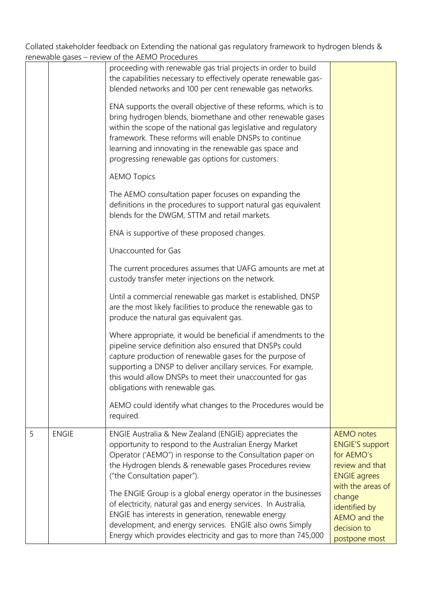|   |              | renewable gases – review of the AEMO Procedures                                                                                                                                                                                                                                                                                                                            |                                                                                                                          |
|---|--------------|----------------------------------------------------------------------------------------------------------------------------------------------------------------------------------------------------------------------------------------------------------------------------------------------------------------------------------------------------------------------------|--------------------------------------------------------------------------------------------------------------------------|
|   |              | proceeding with renewable gas trial projects in order to build<br>the capabilities necessary to effectively operate renewable gas-<br>blended networks and 100 per cent renewable gas networks.                                                                                                                                                                            |                                                                                                                          |
|   |              | ENA supports the overall objective of these reforms, which is to<br>bring hydrogen blends, biomethane and other renewable gases<br>within the scope of the national gas legislative and regulatory<br>framework. These reforms will enable DNSPs to continue<br>learning and innovating in the renewable gas space and<br>progressing renewable gas options for customers. |                                                                                                                          |
|   |              | <b>AEMO Topics</b>                                                                                                                                                                                                                                                                                                                                                         |                                                                                                                          |
|   |              | The AEMO consultation paper focuses on expanding the<br>definitions in the procedures to support natural gas equivalent<br>blends for the DWGM, STTM and retail markets.                                                                                                                                                                                                   |                                                                                                                          |
|   |              | ENA is supportive of these proposed changes.                                                                                                                                                                                                                                                                                                                               |                                                                                                                          |
|   |              | Unaccounted for Gas                                                                                                                                                                                                                                                                                                                                                        |                                                                                                                          |
|   |              | The current procedures assumes that UAFG amounts are met at<br>custody transfer meter injections on the network.                                                                                                                                                                                                                                                           |                                                                                                                          |
|   |              | Until a commercial renewable gas market is established, DNSP<br>are the most likely facilities to produce the renewable gas to<br>produce the natural gas equivalent gas.                                                                                                                                                                                                  |                                                                                                                          |
|   |              | Where appropriate, it would be beneficial if amendments to the<br>pipeline service definition also ensured that DNSPs could<br>capture production of renewable gases for the purpose of<br>supporting a DNSP to deliver ancillary services. For example,<br>this would allow DNSPs to meet their unaccounted for gas<br>obligations with renewable gas.                    |                                                                                                                          |
|   |              | AEMO could identify what changes to the Procedures would be<br>required.                                                                                                                                                                                                                                                                                                   |                                                                                                                          |
| 5 | <b>ENGIE</b> | ENGIE Australia & New Zealand (ENGIE) appreciates the<br>opportunity to respond to the Australian Energy Market<br>Operator ('AEMO") in response to the Consultation paper on<br>the Hydrogen blends & renewable gases Procedures review<br>("the Consultation paper").                                                                                                    | <b>AEMO</b> notes<br><b>ENGIE'S support</b><br>for AEMO's<br>review and that<br><b>ENGIE agrees</b><br>with the areas of |
|   |              | The ENGIE Group is a global energy operator in the businesses<br>of electricity, natural gas and energy services. In Australia,<br>ENGIE has interests in generation, renewable energy<br>development, and energy services. ENGIE also owns Simply<br>Energy which provides electricity and gas to more than 745,000                                                       | change<br>identified by<br><b>AEMO</b> and the<br>decision to<br>postpone most                                           |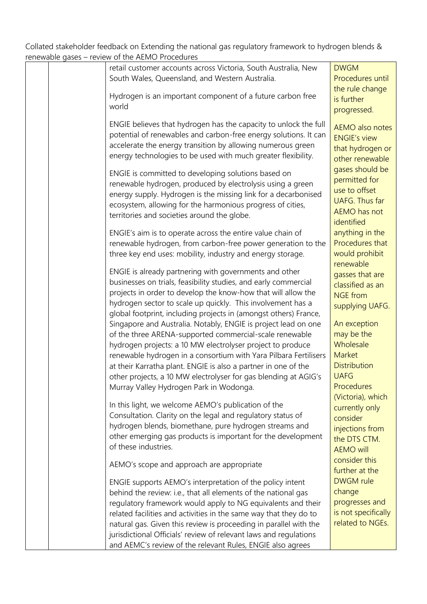| retail customer accounts across Victoria, South Australia, New<br><b>DWGM</b><br>South Wales, Queensland, and Western Australia.<br>the rule change<br>Hydrogen is an important component of a future carbon free<br>is further<br>world<br>progressed.<br>ENGIE believes that hydrogen has the capacity to unlock the full<br>AEMO also notes<br>potential of renewables and carbon-free energy solutions. It can<br><b>ENGIE's view</b><br>accelerate the energy transition by allowing numerous green<br>energy technologies to be used with much greater flexibility.<br>gases should be<br>ENGIE is committed to developing solutions based on<br>permitted for<br>renewable hydrogen, produced by electrolysis using a green<br>use to offset<br>energy supply. Hydrogen is the missing link for a decarbonised<br><b>UAFG. Thus far</b><br>ecosystem, allowing for the harmonious progress of cities,<br>AEMO has not<br>territories and societies around the globe.<br>identified<br>anything in the<br>ENGIE's aim is to operate across the entire value chain of<br>Procedures that<br>renewable hydrogen, from carbon-free power generation to the<br>would prohibit<br>three key end uses: mobility, industry and energy storage.<br>renewable<br>ENGIE is already partnering with governments and other<br>gasses that are<br>businesses on trials, feasibility studies, and early commercial<br>classified as an<br>projects in order to develop the know-how that will allow the<br><b>NGE</b> from<br>hydrogen sector to scale up quickly. This involvement has a<br>supplying UAFG.<br>global footprint, including projects in (amongst others) France,<br>An exception<br>Singapore and Australia. Notably, ENGIE is project lead on one<br>may be the<br>of the three ARENA-supported commercial-scale renewable<br>Wholesale<br>hydrogen projects: a 10 MW electrolyser project to produce<br>Market<br>renewable hydrogen in a consortium with Yara Pilbara Fertilisers<br><b>Distribution</b><br>at their Karratha plant. ENGIE is also a partner in one of the<br><b>UAFG</b><br>other projects, a 10 MW electrolyser for gas blending at AGIG's<br>Procedures<br>Murray Valley Hydrogen Park in Wodonga.<br>(Victoria), which<br>In this light, we welcome AEMO's publication of the<br>currently only<br>Consultation. Clarity on the legal and regulatory status of<br>consider<br>hydrogen blends, biomethane, pure hydrogen streams and<br>injections from<br>other emerging gas products is important for the development<br>the DTS CTM.<br>of these industries.<br><b>AEMO will</b><br>consider this<br>AEMO's scope and approach are appropriate<br>further at the<br><b>DWGM</b> rule<br>ENGIE supports AEMO's interpretation of the policy intent<br>change<br>behind the review: i.e., that all elements of the national gas |  |                     |
|-----------------------------------------------------------------------------------------------------------------------------------------------------------------------------------------------------------------------------------------------------------------------------------------------------------------------------------------------------------------------------------------------------------------------------------------------------------------------------------------------------------------------------------------------------------------------------------------------------------------------------------------------------------------------------------------------------------------------------------------------------------------------------------------------------------------------------------------------------------------------------------------------------------------------------------------------------------------------------------------------------------------------------------------------------------------------------------------------------------------------------------------------------------------------------------------------------------------------------------------------------------------------------------------------------------------------------------------------------------------------------------------------------------------------------------------------------------------------------------------------------------------------------------------------------------------------------------------------------------------------------------------------------------------------------------------------------------------------------------------------------------------------------------------------------------------------------------------------------------------------------------------------------------------------------------------------------------------------------------------------------------------------------------------------------------------------------------------------------------------------------------------------------------------------------------------------------------------------------------------------------------------------------------------------------------------------------------------------------------------------------------------------------------------------------------------------------------------------------------------------------------------------------------------------------------------------------------------------------------------------------------------------------------------------------------------------------------------------------------------------------------------------------------------------------------------------------------------------------------------|--|---------------------|
|                                                                                                                                                                                                                                                                                                                                                                                                                                                                                                                                                                                                                                                                                                                                                                                                                                                                                                                                                                                                                                                                                                                                                                                                                                                                                                                                                                                                                                                                                                                                                                                                                                                                                                                                                                                                                                                                                                                                                                                                                                                                                                                                                                                                                                                                                                                                                                                                                                                                                                                                                                                                                                                                                                                                                                                                                                                                 |  |                     |
|                                                                                                                                                                                                                                                                                                                                                                                                                                                                                                                                                                                                                                                                                                                                                                                                                                                                                                                                                                                                                                                                                                                                                                                                                                                                                                                                                                                                                                                                                                                                                                                                                                                                                                                                                                                                                                                                                                                                                                                                                                                                                                                                                                                                                                                                                                                                                                                                                                                                                                                                                                                                                                                                                                                                                                                                                                                                 |  | Procedures until    |
|                                                                                                                                                                                                                                                                                                                                                                                                                                                                                                                                                                                                                                                                                                                                                                                                                                                                                                                                                                                                                                                                                                                                                                                                                                                                                                                                                                                                                                                                                                                                                                                                                                                                                                                                                                                                                                                                                                                                                                                                                                                                                                                                                                                                                                                                                                                                                                                                                                                                                                                                                                                                                                                                                                                                                                                                                                                                 |  |                     |
|                                                                                                                                                                                                                                                                                                                                                                                                                                                                                                                                                                                                                                                                                                                                                                                                                                                                                                                                                                                                                                                                                                                                                                                                                                                                                                                                                                                                                                                                                                                                                                                                                                                                                                                                                                                                                                                                                                                                                                                                                                                                                                                                                                                                                                                                                                                                                                                                                                                                                                                                                                                                                                                                                                                                                                                                                                                                 |  |                     |
|                                                                                                                                                                                                                                                                                                                                                                                                                                                                                                                                                                                                                                                                                                                                                                                                                                                                                                                                                                                                                                                                                                                                                                                                                                                                                                                                                                                                                                                                                                                                                                                                                                                                                                                                                                                                                                                                                                                                                                                                                                                                                                                                                                                                                                                                                                                                                                                                                                                                                                                                                                                                                                                                                                                                                                                                                                                                 |  |                     |
|                                                                                                                                                                                                                                                                                                                                                                                                                                                                                                                                                                                                                                                                                                                                                                                                                                                                                                                                                                                                                                                                                                                                                                                                                                                                                                                                                                                                                                                                                                                                                                                                                                                                                                                                                                                                                                                                                                                                                                                                                                                                                                                                                                                                                                                                                                                                                                                                                                                                                                                                                                                                                                                                                                                                                                                                                                                                 |  |                     |
|                                                                                                                                                                                                                                                                                                                                                                                                                                                                                                                                                                                                                                                                                                                                                                                                                                                                                                                                                                                                                                                                                                                                                                                                                                                                                                                                                                                                                                                                                                                                                                                                                                                                                                                                                                                                                                                                                                                                                                                                                                                                                                                                                                                                                                                                                                                                                                                                                                                                                                                                                                                                                                                                                                                                                                                                                                                                 |  |                     |
|                                                                                                                                                                                                                                                                                                                                                                                                                                                                                                                                                                                                                                                                                                                                                                                                                                                                                                                                                                                                                                                                                                                                                                                                                                                                                                                                                                                                                                                                                                                                                                                                                                                                                                                                                                                                                                                                                                                                                                                                                                                                                                                                                                                                                                                                                                                                                                                                                                                                                                                                                                                                                                                                                                                                                                                                                                                                 |  |                     |
|                                                                                                                                                                                                                                                                                                                                                                                                                                                                                                                                                                                                                                                                                                                                                                                                                                                                                                                                                                                                                                                                                                                                                                                                                                                                                                                                                                                                                                                                                                                                                                                                                                                                                                                                                                                                                                                                                                                                                                                                                                                                                                                                                                                                                                                                                                                                                                                                                                                                                                                                                                                                                                                                                                                                                                                                                                                                 |  |                     |
|                                                                                                                                                                                                                                                                                                                                                                                                                                                                                                                                                                                                                                                                                                                                                                                                                                                                                                                                                                                                                                                                                                                                                                                                                                                                                                                                                                                                                                                                                                                                                                                                                                                                                                                                                                                                                                                                                                                                                                                                                                                                                                                                                                                                                                                                                                                                                                                                                                                                                                                                                                                                                                                                                                                                                                                                                                                                 |  | that hydrogen or    |
|                                                                                                                                                                                                                                                                                                                                                                                                                                                                                                                                                                                                                                                                                                                                                                                                                                                                                                                                                                                                                                                                                                                                                                                                                                                                                                                                                                                                                                                                                                                                                                                                                                                                                                                                                                                                                                                                                                                                                                                                                                                                                                                                                                                                                                                                                                                                                                                                                                                                                                                                                                                                                                                                                                                                                                                                                                                                 |  | other renewable     |
|                                                                                                                                                                                                                                                                                                                                                                                                                                                                                                                                                                                                                                                                                                                                                                                                                                                                                                                                                                                                                                                                                                                                                                                                                                                                                                                                                                                                                                                                                                                                                                                                                                                                                                                                                                                                                                                                                                                                                                                                                                                                                                                                                                                                                                                                                                                                                                                                                                                                                                                                                                                                                                                                                                                                                                                                                                                                 |  |                     |
|                                                                                                                                                                                                                                                                                                                                                                                                                                                                                                                                                                                                                                                                                                                                                                                                                                                                                                                                                                                                                                                                                                                                                                                                                                                                                                                                                                                                                                                                                                                                                                                                                                                                                                                                                                                                                                                                                                                                                                                                                                                                                                                                                                                                                                                                                                                                                                                                                                                                                                                                                                                                                                                                                                                                                                                                                                                                 |  |                     |
|                                                                                                                                                                                                                                                                                                                                                                                                                                                                                                                                                                                                                                                                                                                                                                                                                                                                                                                                                                                                                                                                                                                                                                                                                                                                                                                                                                                                                                                                                                                                                                                                                                                                                                                                                                                                                                                                                                                                                                                                                                                                                                                                                                                                                                                                                                                                                                                                                                                                                                                                                                                                                                                                                                                                                                                                                                                                 |  |                     |
|                                                                                                                                                                                                                                                                                                                                                                                                                                                                                                                                                                                                                                                                                                                                                                                                                                                                                                                                                                                                                                                                                                                                                                                                                                                                                                                                                                                                                                                                                                                                                                                                                                                                                                                                                                                                                                                                                                                                                                                                                                                                                                                                                                                                                                                                                                                                                                                                                                                                                                                                                                                                                                                                                                                                                                                                                                                                 |  |                     |
|                                                                                                                                                                                                                                                                                                                                                                                                                                                                                                                                                                                                                                                                                                                                                                                                                                                                                                                                                                                                                                                                                                                                                                                                                                                                                                                                                                                                                                                                                                                                                                                                                                                                                                                                                                                                                                                                                                                                                                                                                                                                                                                                                                                                                                                                                                                                                                                                                                                                                                                                                                                                                                                                                                                                                                                                                                                                 |  |                     |
|                                                                                                                                                                                                                                                                                                                                                                                                                                                                                                                                                                                                                                                                                                                                                                                                                                                                                                                                                                                                                                                                                                                                                                                                                                                                                                                                                                                                                                                                                                                                                                                                                                                                                                                                                                                                                                                                                                                                                                                                                                                                                                                                                                                                                                                                                                                                                                                                                                                                                                                                                                                                                                                                                                                                                                                                                                                                 |  |                     |
|                                                                                                                                                                                                                                                                                                                                                                                                                                                                                                                                                                                                                                                                                                                                                                                                                                                                                                                                                                                                                                                                                                                                                                                                                                                                                                                                                                                                                                                                                                                                                                                                                                                                                                                                                                                                                                                                                                                                                                                                                                                                                                                                                                                                                                                                                                                                                                                                                                                                                                                                                                                                                                                                                                                                                                                                                                                                 |  |                     |
|                                                                                                                                                                                                                                                                                                                                                                                                                                                                                                                                                                                                                                                                                                                                                                                                                                                                                                                                                                                                                                                                                                                                                                                                                                                                                                                                                                                                                                                                                                                                                                                                                                                                                                                                                                                                                                                                                                                                                                                                                                                                                                                                                                                                                                                                                                                                                                                                                                                                                                                                                                                                                                                                                                                                                                                                                                                                 |  |                     |
|                                                                                                                                                                                                                                                                                                                                                                                                                                                                                                                                                                                                                                                                                                                                                                                                                                                                                                                                                                                                                                                                                                                                                                                                                                                                                                                                                                                                                                                                                                                                                                                                                                                                                                                                                                                                                                                                                                                                                                                                                                                                                                                                                                                                                                                                                                                                                                                                                                                                                                                                                                                                                                                                                                                                                                                                                                                                 |  |                     |
|                                                                                                                                                                                                                                                                                                                                                                                                                                                                                                                                                                                                                                                                                                                                                                                                                                                                                                                                                                                                                                                                                                                                                                                                                                                                                                                                                                                                                                                                                                                                                                                                                                                                                                                                                                                                                                                                                                                                                                                                                                                                                                                                                                                                                                                                                                                                                                                                                                                                                                                                                                                                                                                                                                                                                                                                                                                                 |  |                     |
|                                                                                                                                                                                                                                                                                                                                                                                                                                                                                                                                                                                                                                                                                                                                                                                                                                                                                                                                                                                                                                                                                                                                                                                                                                                                                                                                                                                                                                                                                                                                                                                                                                                                                                                                                                                                                                                                                                                                                                                                                                                                                                                                                                                                                                                                                                                                                                                                                                                                                                                                                                                                                                                                                                                                                                                                                                                                 |  |                     |
|                                                                                                                                                                                                                                                                                                                                                                                                                                                                                                                                                                                                                                                                                                                                                                                                                                                                                                                                                                                                                                                                                                                                                                                                                                                                                                                                                                                                                                                                                                                                                                                                                                                                                                                                                                                                                                                                                                                                                                                                                                                                                                                                                                                                                                                                                                                                                                                                                                                                                                                                                                                                                                                                                                                                                                                                                                                                 |  |                     |
|                                                                                                                                                                                                                                                                                                                                                                                                                                                                                                                                                                                                                                                                                                                                                                                                                                                                                                                                                                                                                                                                                                                                                                                                                                                                                                                                                                                                                                                                                                                                                                                                                                                                                                                                                                                                                                                                                                                                                                                                                                                                                                                                                                                                                                                                                                                                                                                                                                                                                                                                                                                                                                                                                                                                                                                                                                                                 |  |                     |
|                                                                                                                                                                                                                                                                                                                                                                                                                                                                                                                                                                                                                                                                                                                                                                                                                                                                                                                                                                                                                                                                                                                                                                                                                                                                                                                                                                                                                                                                                                                                                                                                                                                                                                                                                                                                                                                                                                                                                                                                                                                                                                                                                                                                                                                                                                                                                                                                                                                                                                                                                                                                                                                                                                                                                                                                                                                                 |  |                     |
|                                                                                                                                                                                                                                                                                                                                                                                                                                                                                                                                                                                                                                                                                                                                                                                                                                                                                                                                                                                                                                                                                                                                                                                                                                                                                                                                                                                                                                                                                                                                                                                                                                                                                                                                                                                                                                                                                                                                                                                                                                                                                                                                                                                                                                                                                                                                                                                                                                                                                                                                                                                                                                                                                                                                                                                                                                                                 |  |                     |
|                                                                                                                                                                                                                                                                                                                                                                                                                                                                                                                                                                                                                                                                                                                                                                                                                                                                                                                                                                                                                                                                                                                                                                                                                                                                                                                                                                                                                                                                                                                                                                                                                                                                                                                                                                                                                                                                                                                                                                                                                                                                                                                                                                                                                                                                                                                                                                                                                                                                                                                                                                                                                                                                                                                                                                                                                                                                 |  |                     |
|                                                                                                                                                                                                                                                                                                                                                                                                                                                                                                                                                                                                                                                                                                                                                                                                                                                                                                                                                                                                                                                                                                                                                                                                                                                                                                                                                                                                                                                                                                                                                                                                                                                                                                                                                                                                                                                                                                                                                                                                                                                                                                                                                                                                                                                                                                                                                                                                                                                                                                                                                                                                                                                                                                                                                                                                                                                                 |  |                     |
|                                                                                                                                                                                                                                                                                                                                                                                                                                                                                                                                                                                                                                                                                                                                                                                                                                                                                                                                                                                                                                                                                                                                                                                                                                                                                                                                                                                                                                                                                                                                                                                                                                                                                                                                                                                                                                                                                                                                                                                                                                                                                                                                                                                                                                                                                                                                                                                                                                                                                                                                                                                                                                                                                                                                                                                                                                                                 |  |                     |
|                                                                                                                                                                                                                                                                                                                                                                                                                                                                                                                                                                                                                                                                                                                                                                                                                                                                                                                                                                                                                                                                                                                                                                                                                                                                                                                                                                                                                                                                                                                                                                                                                                                                                                                                                                                                                                                                                                                                                                                                                                                                                                                                                                                                                                                                                                                                                                                                                                                                                                                                                                                                                                                                                                                                                                                                                                                                 |  |                     |
|                                                                                                                                                                                                                                                                                                                                                                                                                                                                                                                                                                                                                                                                                                                                                                                                                                                                                                                                                                                                                                                                                                                                                                                                                                                                                                                                                                                                                                                                                                                                                                                                                                                                                                                                                                                                                                                                                                                                                                                                                                                                                                                                                                                                                                                                                                                                                                                                                                                                                                                                                                                                                                                                                                                                                                                                                                                                 |  |                     |
|                                                                                                                                                                                                                                                                                                                                                                                                                                                                                                                                                                                                                                                                                                                                                                                                                                                                                                                                                                                                                                                                                                                                                                                                                                                                                                                                                                                                                                                                                                                                                                                                                                                                                                                                                                                                                                                                                                                                                                                                                                                                                                                                                                                                                                                                                                                                                                                                                                                                                                                                                                                                                                                                                                                                                                                                                                                                 |  |                     |
|                                                                                                                                                                                                                                                                                                                                                                                                                                                                                                                                                                                                                                                                                                                                                                                                                                                                                                                                                                                                                                                                                                                                                                                                                                                                                                                                                                                                                                                                                                                                                                                                                                                                                                                                                                                                                                                                                                                                                                                                                                                                                                                                                                                                                                                                                                                                                                                                                                                                                                                                                                                                                                                                                                                                                                                                                                                                 |  |                     |
|                                                                                                                                                                                                                                                                                                                                                                                                                                                                                                                                                                                                                                                                                                                                                                                                                                                                                                                                                                                                                                                                                                                                                                                                                                                                                                                                                                                                                                                                                                                                                                                                                                                                                                                                                                                                                                                                                                                                                                                                                                                                                                                                                                                                                                                                                                                                                                                                                                                                                                                                                                                                                                                                                                                                                                                                                                                                 |  |                     |
|                                                                                                                                                                                                                                                                                                                                                                                                                                                                                                                                                                                                                                                                                                                                                                                                                                                                                                                                                                                                                                                                                                                                                                                                                                                                                                                                                                                                                                                                                                                                                                                                                                                                                                                                                                                                                                                                                                                                                                                                                                                                                                                                                                                                                                                                                                                                                                                                                                                                                                                                                                                                                                                                                                                                                                                                                                                                 |  |                     |
|                                                                                                                                                                                                                                                                                                                                                                                                                                                                                                                                                                                                                                                                                                                                                                                                                                                                                                                                                                                                                                                                                                                                                                                                                                                                                                                                                                                                                                                                                                                                                                                                                                                                                                                                                                                                                                                                                                                                                                                                                                                                                                                                                                                                                                                                                                                                                                                                                                                                                                                                                                                                                                                                                                                                                                                                                                                                 |  |                     |
|                                                                                                                                                                                                                                                                                                                                                                                                                                                                                                                                                                                                                                                                                                                                                                                                                                                                                                                                                                                                                                                                                                                                                                                                                                                                                                                                                                                                                                                                                                                                                                                                                                                                                                                                                                                                                                                                                                                                                                                                                                                                                                                                                                                                                                                                                                                                                                                                                                                                                                                                                                                                                                                                                                                                                                                                                                                                 |  |                     |
|                                                                                                                                                                                                                                                                                                                                                                                                                                                                                                                                                                                                                                                                                                                                                                                                                                                                                                                                                                                                                                                                                                                                                                                                                                                                                                                                                                                                                                                                                                                                                                                                                                                                                                                                                                                                                                                                                                                                                                                                                                                                                                                                                                                                                                                                                                                                                                                                                                                                                                                                                                                                                                                                                                                                                                                                                                                                 |  |                     |
|                                                                                                                                                                                                                                                                                                                                                                                                                                                                                                                                                                                                                                                                                                                                                                                                                                                                                                                                                                                                                                                                                                                                                                                                                                                                                                                                                                                                                                                                                                                                                                                                                                                                                                                                                                                                                                                                                                                                                                                                                                                                                                                                                                                                                                                                                                                                                                                                                                                                                                                                                                                                                                                                                                                                                                                                                                                                 |  |                     |
|                                                                                                                                                                                                                                                                                                                                                                                                                                                                                                                                                                                                                                                                                                                                                                                                                                                                                                                                                                                                                                                                                                                                                                                                                                                                                                                                                                                                                                                                                                                                                                                                                                                                                                                                                                                                                                                                                                                                                                                                                                                                                                                                                                                                                                                                                                                                                                                                                                                                                                                                                                                                                                                                                                                                                                                                                                                                 |  |                     |
|                                                                                                                                                                                                                                                                                                                                                                                                                                                                                                                                                                                                                                                                                                                                                                                                                                                                                                                                                                                                                                                                                                                                                                                                                                                                                                                                                                                                                                                                                                                                                                                                                                                                                                                                                                                                                                                                                                                                                                                                                                                                                                                                                                                                                                                                                                                                                                                                                                                                                                                                                                                                                                                                                                                                                                                                                                                                 |  |                     |
|                                                                                                                                                                                                                                                                                                                                                                                                                                                                                                                                                                                                                                                                                                                                                                                                                                                                                                                                                                                                                                                                                                                                                                                                                                                                                                                                                                                                                                                                                                                                                                                                                                                                                                                                                                                                                                                                                                                                                                                                                                                                                                                                                                                                                                                                                                                                                                                                                                                                                                                                                                                                                                                                                                                                                                                                                                                                 |  |                     |
|                                                                                                                                                                                                                                                                                                                                                                                                                                                                                                                                                                                                                                                                                                                                                                                                                                                                                                                                                                                                                                                                                                                                                                                                                                                                                                                                                                                                                                                                                                                                                                                                                                                                                                                                                                                                                                                                                                                                                                                                                                                                                                                                                                                                                                                                                                                                                                                                                                                                                                                                                                                                                                                                                                                                                                                                                                                                 |  |                     |
|                                                                                                                                                                                                                                                                                                                                                                                                                                                                                                                                                                                                                                                                                                                                                                                                                                                                                                                                                                                                                                                                                                                                                                                                                                                                                                                                                                                                                                                                                                                                                                                                                                                                                                                                                                                                                                                                                                                                                                                                                                                                                                                                                                                                                                                                                                                                                                                                                                                                                                                                                                                                                                                                                                                                                                                                                                                                 |  |                     |
|                                                                                                                                                                                                                                                                                                                                                                                                                                                                                                                                                                                                                                                                                                                                                                                                                                                                                                                                                                                                                                                                                                                                                                                                                                                                                                                                                                                                                                                                                                                                                                                                                                                                                                                                                                                                                                                                                                                                                                                                                                                                                                                                                                                                                                                                                                                                                                                                                                                                                                                                                                                                                                                                                                                                                                                                                                                                 |  |                     |
|                                                                                                                                                                                                                                                                                                                                                                                                                                                                                                                                                                                                                                                                                                                                                                                                                                                                                                                                                                                                                                                                                                                                                                                                                                                                                                                                                                                                                                                                                                                                                                                                                                                                                                                                                                                                                                                                                                                                                                                                                                                                                                                                                                                                                                                                                                                                                                                                                                                                                                                                                                                                                                                                                                                                                                                                                                                                 |  |                     |
|                                                                                                                                                                                                                                                                                                                                                                                                                                                                                                                                                                                                                                                                                                                                                                                                                                                                                                                                                                                                                                                                                                                                                                                                                                                                                                                                                                                                                                                                                                                                                                                                                                                                                                                                                                                                                                                                                                                                                                                                                                                                                                                                                                                                                                                                                                                                                                                                                                                                                                                                                                                                                                                                                                                                                                                                                                                                 |  |                     |
|                                                                                                                                                                                                                                                                                                                                                                                                                                                                                                                                                                                                                                                                                                                                                                                                                                                                                                                                                                                                                                                                                                                                                                                                                                                                                                                                                                                                                                                                                                                                                                                                                                                                                                                                                                                                                                                                                                                                                                                                                                                                                                                                                                                                                                                                                                                                                                                                                                                                                                                                                                                                                                                                                                                                                                                                                                                                 |  |                     |
| progresses and<br>regulatory framework would apply to NG equivalents and their                                                                                                                                                                                                                                                                                                                                                                                                                                                                                                                                                                                                                                                                                                                                                                                                                                                                                                                                                                                                                                                                                                                                                                                                                                                                                                                                                                                                                                                                                                                                                                                                                                                                                                                                                                                                                                                                                                                                                                                                                                                                                                                                                                                                                                                                                                                                                                                                                                                                                                                                                                                                                                                                                                                                                                                  |  |                     |
|                                                                                                                                                                                                                                                                                                                                                                                                                                                                                                                                                                                                                                                                                                                                                                                                                                                                                                                                                                                                                                                                                                                                                                                                                                                                                                                                                                                                                                                                                                                                                                                                                                                                                                                                                                                                                                                                                                                                                                                                                                                                                                                                                                                                                                                                                                                                                                                                                                                                                                                                                                                                                                                                                                                                                                                                                                                                 |  | is not specifically |
| related facilities and activities in the same way that they do to                                                                                                                                                                                                                                                                                                                                                                                                                                                                                                                                                                                                                                                                                                                                                                                                                                                                                                                                                                                                                                                                                                                                                                                                                                                                                                                                                                                                                                                                                                                                                                                                                                                                                                                                                                                                                                                                                                                                                                                                                                                                                                                                                                                                                                                                                                                                                                                                                                                                                                                                                                                                                                                                                                                                                                                               |  |                     |
| natural gas. Given this review is proceeding in parallel with the                                                                                                                                                                                                                                                                                                                                                                                                                                                                                                                                                                                                                                                                                                                                                                                                                                                                                                                                                                                                                                                                                                                                                                                                                                                                                                                                                                                                                                                                                                                                                                                                                                                                                                                                                                                                                                                                                                                                                                                                                                                                                                                                                                                                                                                                                                                                                                                                                                                                                                                                                                                                                                                                                                                                                                                               |  | related to NGEs.    |
| jurisdictional Officials' review of relevant laws and regulations                                                                                                                                                                                                                                                                                                                                                                                                                                                                                                                                                                                                                                                                                                                                                                                                                                                                                                                                                                                                                                                                                                                                                                                                                                                                                                                                                                                                                                                                                                                                                                                                                                                                                                                                                                                                                                                                                                                                                                                                                                                                                                                                                                                                                                                                                                                                                                                                                                                                                                                                                                                                                                                                                                                                                                                               |  |                     |
| and AEMC's review of the relevant Rules, ENGIE also agrees                                                                                                                                                                                                                                                                                                                                                                                                                                                                                                                                                                                                                                                                                                                                                                                                                                                                                                                                                                                                                                                                                                                                                                                                                                                                                                                                                                                                                                                                                                                                                                                                                                                                                                                                                                                                                                                                                                                                                                                                                                                                                                                                                                                                                                                                                                                                                                                                                                                                                                                                                                                                                                                                                                                                                                                                      |  |                     |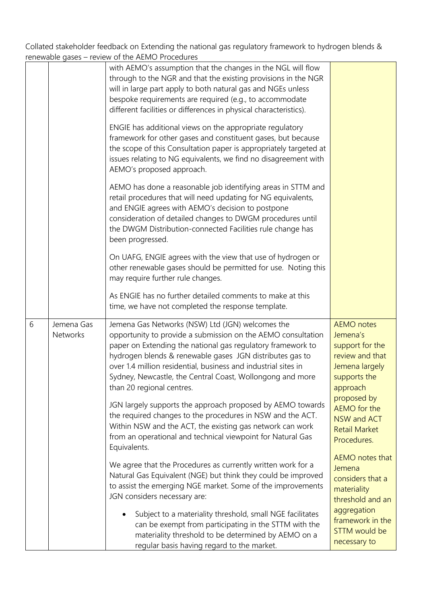|   |                        | Terrewable gases – review of the AEMO Procedures                                                                                                                                                                                                                                                                                                                                                        |                                                                                                                   |
|---|------------------------|---------------------------------------------------------------------------------------------------------------------------------------------------------------------------------------------------------------------------------------------------------------------------------------------------------------------------------------------------------------------------------------------------------|-------------------------------------------------------------------------------------------------------------------|
|   |                        | with AEMO's assumption that the changes in the NGL will flow<br>through to the NGR and that the existing provisions in the NGR<br>will in large part apply to both natural gas and NGEs unless<br>bespoke requirements are required (e.g., to accommodate<br>different facilities or differences in physical characteristics).                                                                          |                                                                                                                   |
|   |                        | ENGIE has additional views on the appropriate regulatory<br>framework for other gases and constituent gases, but because<br>the scope of this Consultation paper is appropriately targeted at<br>issues relating to NG equivalents, we find no disagreement with<br>AEMO's proposed approach.                                                                                                           |                                                                                                                   |
|   |                        | AEMO has done a reasonable job identifying areas in STTM and<br>retail procedures that will need updating for NG equivalents,<br>and ENGIE agrees with AEMO's decision to postpone<br>consideration of detailed changes to DWGM procedures until<br>the DWGM Distribution-connected Facilities rule change has<br>been progressed.                                                                      |                                                                                                                   |
|   |                        | On UAFG, ENGIE agrees with the view that use of hydrogen or<br>other renewable gases should be permitted for use. Noting this<br>may require further rule changes.                                                                                                                                                                                                                                      |                                                                                                                   |
|   |                        | As ENGIE has no further detailed comments to make at this<br>time, we have not completed the response template.                                                                                                                                                                                                                                                                                         |                                                                                                                   |
| 6 | Jemena Gas<br>Networks | Jemena Gas Networks (NSW) Ltd (JGN) welcomes the<br>opportunity to provide a submission on the AEMO consultation<br>paper on Extending the national gas regulatory framework to<br>hydrogen blends & renewable gases JGN distributes gas to<br>over 1.4 million residential, business and industrial sites in<br>Sydney, Newcastle, the Central Coast, Wollongong and more<br>than 20 regional centres. | <b>AEMO</b> notes<br>Jemena's<br>support for the<br>review and that<br>Jemena largely<br>supports the<br>approach |
|   |                        | JGN largely supports the approach proposed by AEMO towards<br>the required changes to the procedures in NSW and the ACT.<br>Within NSW and the ACT, the existing gas network can work<br>from an operational and technical viewpoint for Natural Gas<br>Equivalents.                                                                                                                                    | proposed by<br>AEMO for the<br>NSW and ACT<br><b>Retail Market</b><br>Procedures.                                 |
|   |                        | We agree that the Procedures as currently written work for a<br>Natural Gas Equivalent (NGE) but think they could be improved<br>to assist the emerging NGE market. Some of the improvements<br>JGN considers necessary are:                                                                                                                                                                            | AEMO notes that<br>Jemena<br>considers that a<br>materiality<br>threshold and an                                  |
|   |                        | Subject to a materiality threshold, small NGE facilitates<br>can be exempt from participating in the STTM with the<br>materiality threshold to be determined by AEMO on a<br>regular basis having regard to the market.                                                                                                                                                                                 | aggregation<br>framework in the<br>STTM would be<br>necessary to                                                  |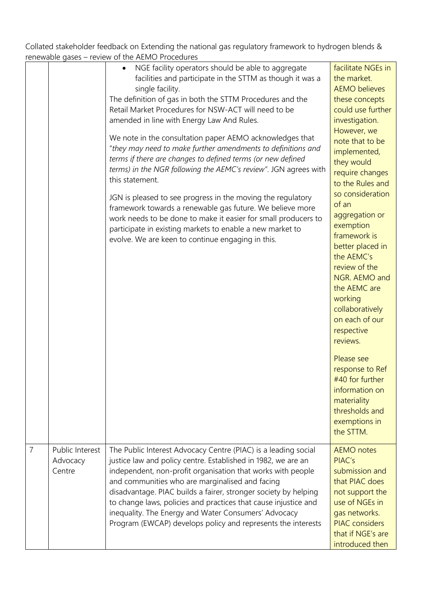|   | i chicwapic gascs                     | <b>ICVICW OF LITE / LIVIO I TOCCULIC:</b>                                                                                                                                                                                                                                                                                                                                                                                                                                                                                                                                                                                                                                                                                                                                                                                                                                                                            |                                                                                                                                                                                                                                                                                                                                                                                                                                                                                                                                                                                                            |
|---|---------------------------------------|----------------------------------------------------------------------------------------------------------------------------------------------------------------------------------------------------------------------------------------------------------------------------------------------------------------------------------------------------------------------------------------------------------------------------------------------------------------------------------------------------------------------------------------------------------------------------------------------------------------------------------------------------------------------------------------------------------------------------------------------------------------------------------------------------------------------------------------------------------------------------------------------------------------------|------------------------------------------------------------------------------------------------------------------------------------------------------------------------------------------------------------------------------------------------------------------------------------------------------------------------------------------------------------------------------------------------------------------------------------------------------------------------------------------------------------------------------------------------------------------------------------------------------------|
|   |                                       | NGE facility operators should be able to aggregate<br>$\bullet$<br>facilities and participate in the STTM as though it was a<br>single facility.<br>The definition of gas in both the STTM Procedures and the<br>Retail Market Procedures for NSW-ACT will need to be<br>amended in line with Energy Law And Rules.<br>We note in the consultation paper AEMO acknowledges that<br>"they may need to make further amendments to definitions and<br>terms if there are changes to defined terms (or new defined<br>terms) in the NGR following the AEMC's review". JGN agrees with<br>this statement.<br>JGN is pleased to see progress in the moving the regulatory<br>framework towards a renewable gas future. We believe more<br>work needs to be done to make it easier for small producers to<br>participate in existing markets to enable a new market to<br>evolve. We are keen to continue engaging in this. | facilitate NGEs in<br>the market.<br><b>AEMO</b> believes<br>these concepts<br>could use further<br>investigation.<br>However, we<br>note that to be<br>implemented,<br>they would<br>require changes<br>to the Rules and<br>so consideration<br>of an<br>aggregation or<br>exemption<br>framework is<br>better placed in<br>the AEMC's<br>review of the<br>NGR. AEMO and<br>the AEMC are<br>working<br>collaboratively<br>on each of our<br>respective<br>reviews.<br>Please see<br>response to Ref<br>$#40$ for further<br>information on<br>materiality<br>thresholds and<br>exemptions in<br>the STTM. |
| 7 | Public Interest<br>Advocacy<br>Centre | The Public Interest Advocacy Centre (PIAC) is a leading social<br>justice law and policy centre. Established in 1982, we are an<br>independent, non-profit organisation that works with people<br>and communities who are marginalised and facing<br>disadvantage. PIAC builds a fairer, stronger society by helping<br>to change laws, policies and practices that cause injustice and<br>inequality. The Energy and Water Consumers' Advocacy<br>Program (EWCAP) develops policy and represents the interests                                                                                                                                                                                                                                                                                                                                                                                                      | <b>AEMO</b> notes<br>PIAC's<br>submission and<br>that PIAC does<br>not support the<br>use of NGEs in<br>gas networks.<br><b>PIAC</b> considers<br>that if NGE's are<br>introduced then                                                                                                                                                                                                                                                                                                                                                                                                                     |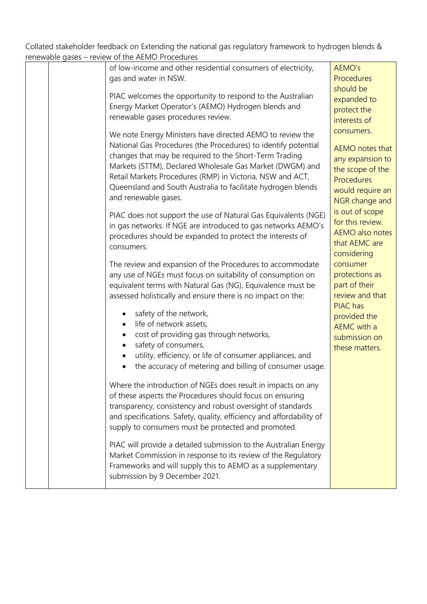| Tellewable gases - Teview Of the ALIVIO FTOCE001ES                   |                             |
|----------------------------------------------------------------------|-----------------------------|
| of low-income and other residential consumers of electricity,        | AEMO's                      |
| gas and water in NSW.                                                | Procedures                  |
|                                                                      | should be                   |
| PIAC welcomes the opportunity to respond to the Australian           | expanded to                 |
| Energy Market Operator's (AEMO) Hydrogen blends and                  | protect the                 |
| renewable gases procedures review.                                   | interests of                |
| We note Energy Ministers have directed AEMO to review the            | consumers.                  |
| National Gas Procedures (the Procedures) to identify potential       |                             |
| changes that may be required to the Short-Term Trading               | <b>AEMO</b> notes that      |
| Markets (STTM), Declared Wholesale Gas Market (DWGM) and             | any expansion to            |
| Retail Markets Procedures (RMP) in Victoria, NSW and ACT,            | the scope of the            |
| Queensland and South Australia to facilitate hydrogen blends         | Procedures                  |
| and renewable gases.                                                 | would require an            |
|                                                                      | NGR change and              |
| PIAC does not support the use of Natural Gas Equivalents (NGE)       | is out of scope             |
| in gas networks. If NGE are introduced to gas networks AEMO's        | for this review.            |
| procedures should be expanded to protect the interests of            | <b>AEMO</b> also notes      |
| consumers.                                                           | that AEMC are               |
|                                                                      | considering                 |
| The review and expansion of the Procedures to accommodate            | consumer                    |
| any use of NGEs must focus on suitability of consumption on          | protections as              |
| equivalent terms with Natural Gas (NG). Equivalence must be          | part of their               |
| assessed holistically and ensure there is no impact on the:          | review and that<br>PIAC has |
| safety of the network,                                               |                             |
| life of network assets,<br>$\bullet$                                 | provided the<br>AEMC with a |
| cost of providing gas through networks,                              | submission on               |
| safety of consumers,<br>$\bullet$                                    | these matters.              |
| utility, efficiency, or life of consumer appliances, and             |                             |
| the accuracy of metering and billing of consumer usage.              |                             |
|                                                                      |                             |
| Where the introduction of NGEs does result in impacts on any         |                             |
| of these aspects the Procedures should focus on ensuring             |                             |
| transparency, consistency and robust oversight of standards          |                             |
| and specifications. Safety, quality, efficiency and affordability of |                             |
| supply to consumers must be protected and promoted.                  |                             |
|                                                                      |                             |
| PIAC will provide a detailed submission to the Australian Energy     |                             |
| Market Commission in response to its review of the Regulatory        |                             |
| Frameworks and will supply this to AEMO as a supplementary           |                             |
| submission by 9 December 2021.                                       |                             |
|                                                                      |                             |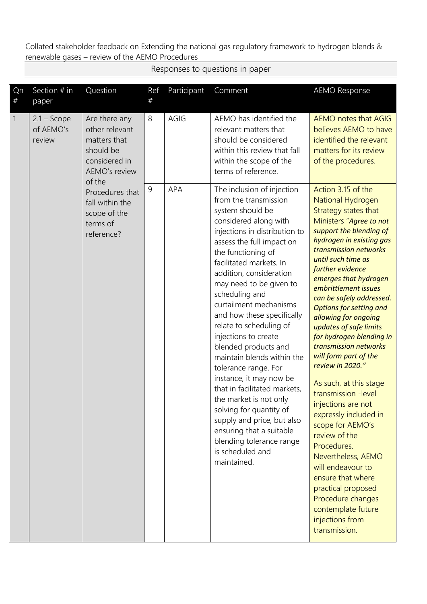Responses to questions in paper

| Qn<br>$\#$     | Section # in<br>paper                | Question                                                                                                 | Ref<br># | Participant | Comment                                                                                                                                                                                                                                                                                                                                                                                                                                                                                                                                                                                                                                                                                                                   | <b>AEMO Response</b>                                                                                                                                                                                                                                                                                                                                                                                                                                                                                                                                                                                                                                                                                                                                                                                             |
|----------------|--------------------------------------|----------------------------------------------------------------------------------------------------------|----------|-------------|---------------------------------------------------------------------------------------------------------------------------------------------------------------------------------------------------------------------------------------------------------------------------------------------------------------------------------------------------------------------------------------------------------------------------------------------------------------------------------------------------------------------------------------------------------------------------------------------------------------------------------------------------------------------------------------------------------------------------|------------------------------------------------------------------------------------------------------------------------------------------------------------------------------------------------------------------------------------------------------------------------------------------------------------------------------------------------------------------------------------------------------------------------------------------------------------------------------------------------------------------------------------------------------------------------------------------------------------------------------------------------------------------------------------------------------------------------------------------------------------------------------------------------------------------|
| $\overline{1}$ | $2.1 -$ Scope<br>of AEMO's<br>review | Are there any<br>other relevant<br>matters that<br>should be<br>considered in<br>AEMO's review<br>of the | 8        | AGIG        | AEMO has identified the<br>relevant matters that<br>should be considered<br>within this review that fall<br>within the scope of the<br>terms of reference.                                                                                                                                                                                                                                                                                                                                                                                                                                                                                                                                                                | AEMO notes that AGIG<br>believes AEMO to have<br>identified the relevant<br>matters for its review<br>of the procedures.                                                                                                                                                                                                                                                                                                                                                                                                                                                                                                                                                                                                                                                                                         |
|                |                                      | Procedures that<br>fall within the<br>scope of the<br>terms of<br>reference?                             | 9        | APA         | The inclusion of injection<br>from the transmission<br>system should be<br>considered along with<br>injections in distribution to<br>assess the full impact on<br>the functioning of<br>facilitated markets. In<br>addition, consideration<br>may need to be given to<br>scheduling and<br>curtailment mechanisms<br>and how these specifically<br>relate to scheduling of<br>injections to create<br>blended products and<br>maintain blends within the<br>tolerance range. For<br>instance, it may now be<br>that in facilitated markets,<br>the market is not only<br>solving for quantity of<br>supply and price, but also<br>ensuring that a suitable<br>blending tolerance range<br>is scheduled and<br>maintained. | Action 3.15 of the<br>National Hydrogen<br>Strategy states that<br>Ministers "Agree to not<br>support the blending of<br>hydrogen in existing gas<br>transmission networks<br>until such time as<br>further evidence<br>emerges that hydrogen<br>embrittlement issues<br>can be safely addressed.<br><b>Options for setting and</b><br>allowing for ongoing<br>updates of safe limits<br>for hydrogen blending in<br>transmission networks<br>will form part of the<br>review in 2020."<br>As such, at this stage<br>transmission -level<br>injections are not<br>expressly included in<br>scope for AEMO's<br>review of the<br>Procedures.<br>Nevertheless, AEMO<br>will endeavour to<br>ensure that where<br>practical proposed<br>Procedure changes<br>contemplate future<br>injections from<br>transmission. |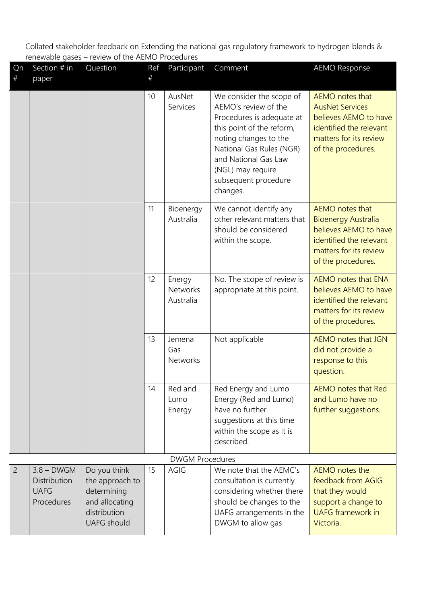| Qn<br>$^{\#}$  | Section # in<br>paper                                     | Question                                                                                               | Ref<br># | Participant                            | Comment                                                                                                                                                                                                                                          | <b>AEMO Response</b>                                                                                                                              |
|----------------|-----------------------------------------------------------|--------------------------------------------------------------------------------------------------------|----------|----------------------------------------|--------------------------------------------------------------------------------------------------------------------------------------------------------------------------------------------------------------------------------------------------|---------------------------------------------------------------------------------------------------------------------------------------------------|
|                |                                                           |                                                                                                        | 10       | AusNet<br>Services                     | We consider the scope of<br>AEMO's review of the<br>Procedures is adequate at<br>this point of the reform,<br>noting changes to the<br>National Gas Rules (NGR)<br>and National Gas Law<br>(NGL) may require<br>subsequent procedure<br>changes. | AEMO notes that<br><b>AusNet Services</b><br>believes AEMO to have<br>identified the relevant<br>matters for its review<br>of the procedures.     |
|                |                                                           |                                                                                                        | 11       | Bioenergy<br>Australia                 | We cannot identify any<br>other relevant matters that<br>should be considered<br>within the scope.                                                                                                                                               | AEMO notes that<br><b>Bioenergy Australia</b><br>believes AEMO to have<br>identified the relevant<br>matters for its review<br>of the procedures. |
|                |                                                           |                                                                                                        | 12       | Energy<br><b>Networks</b><br>Australia | No. The scope of review is<br>appropriate at this point.                                                                                                                                                                                         | AEMO notes that ENA<br>believes AEMO to have<br>identified the relevant<br>matters for its review<br>of the procedures.                           |
|                |                                                           |                                                                                                        | 13       | Jemena<br>Gas<br>Networks              | Not applicable                                                                                                                                                                                                                                   | AEMO notes that JGN<br>did not provide a<br>response to this<br>question.                                                                         |
|                |                                                           |                                                                                                        | 14       | Red and<br>Lumo<br>Energy              | Red Energy and Lumo<br>Energy (Red and Lumo)<br>have no further<br>suggestions at this time<br>within the scope as it is<br>described.                                                                                                           | <b>AEMO</b> notes that Red<br>and Lumo have no<br>further suggestions.                                                                            |
|                |                                                           |                                                                                                        |          | <b>DWGM Procedures</b>                 |                                                                                                                                                                                                                                                  |                                                                                                                                                   |
| $\overline{c}$ | $3.8 - DWGM$<br>Distribution<br><b>UAFG</b><br>Procedures | Do you think<br>the approach to<br>determining<br>and allocating<br>distribution<br><b>UAFG</b> should | 15       | AGIG                                   | We note that the AEMC's<br>consultation is currently<br>considering whether there<br>should be changes to the<br>UAFG arrangements in the<br>DWGM to allow gas                                                                                   | AEMO notes the<br>feedback from AGIG<br>that they would<br>support a change to<br><b>UAFG</b> framework in<br>Victoria.                           |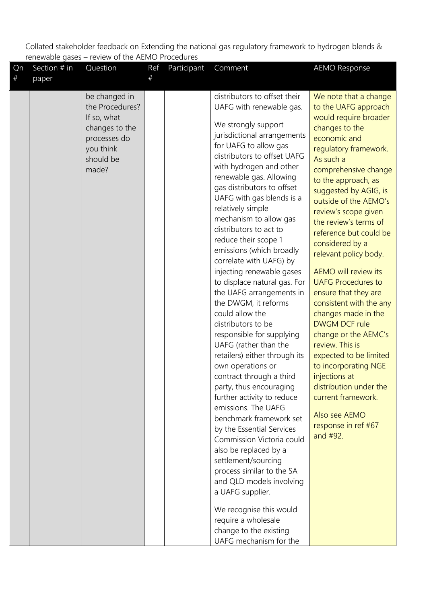| Qn   | Section # in | Question                                                                                                             | Ref | Participant | Comment                                                                                                                                                                                                                                                                                                                                                                                                                                                                                                                                                                                                                                                                                                                                                                                                                                                                                                                                                                                                                                                                                                                                                   | <b>AEMO Response</b>                                                                                                                                                                                                                                                                                                                                                                                                                                                                                                                                                                                                                                                                                                                                   |
|------|--------------|----------------------------------------------------------------------------------------------------------------------|-----|-------------|-----------------------------------------------------------------------------------------------------------------------------------------------------------------------------------------------------------------------------------------------------------------------------------------------------------------------------------------------------------------------------------------------------------------------------------------------------------------------------------------------------------------------------------------------------------------------------------------------------------------------------------------------------------------------------------------------------------------------------------------------------------------------------------------------------------------------------------------------------------------------------------------------------------------------------------------------------------------------------------------------------------------------------------------------------------------------------------------------------------------------------------------------------------|--------------------------------------------------------------------------------------------------------------------------------------------------------------------------------------------------------------------------------------------------------------------------------------------------------------------------------------------------------------------------------------------------------------------------------------------------------------------------------------------------------------------------------------------------------------------------------------------------------------------------------------------------------------------------------------------------------------------------------------------------------|
| $\#$ | paper        |                                                                                                                      | #   |             |                                                                                                                                                                                                                                                                                                                                                                                                                                                                                                                                                                                                                                                                                                                                                                                                                                                                                                                                                                                                                                                                                                                                                           |                                                                                                                                                                                                                                                                                                                                                                                                                                                                                                                                                                                                                                                                                                                                                        |
|      |              | be changed in<br>the Procedures?<br>If so, what<br>changes to the<br>processes do<br>you think<br>should be<br>made? |     |             | distributors to offset their<br>UAFG with renewable gas.<br>We strongly support<br>jurisdictional arrangements<br>for UAFG to allow gas<br>distributors to offset UAFG<br>with hydrogen and other<br>renewable gas. Allowing<br>gas distributors to offset<br>UAFG with gas blends is a<br>relatively simple<br>mechanism to allow gas<br>distributors to act to<br>reduce their scope 1<br>emissions (which broadly<br>correlate with UAFG) by<br>injecting renewable gases<br>to displace natural gas. For<br>the UAFG arrangements in<br>the DWGM, it reforms<br>could allow the<br>distributors to be<br>responsible for supplying<br>UAFG (rather than the<br>retailers) either through its<br>own operations or<br>contract through a third<br>party, thus encouraging<br>further activity to reduce<br>emissions. The UAFG<br>benchmark framework set<br>by the Essential Services<br>Commission Victoria could<br>also be replaced by a<br>settlement/sourcing<br>process similar to the SA<br>and QLD models involving<br>a UAFG supplier.<br>We recognise this would<br>require a wholesale<br>change to the existing<br>UAFG mechanism for the | We note that a change<br>to the UAFG approach<br>would require broader<br>changes to the<br>economic and<br>regulatory framework.<br>As such a<br>comprehensive change<br>to the approach, as<br>suggested by AGIG, is<br>outside of the AEMO's<br>review's scope given<br>the review's terms of<br>reference but could be<br>considered by a<br>relevant policy body.<br><b>AEMO</b> will review its<br><b>UAFG Procedures to</b><br>ensure that they are<br>consistent with the any<br>changes made in the<br><b>DWGM DCF rule</b><br>change or the AEMC's<br>review. This is<br>expected to be limited<br>to incorporating NGE<br>injections at<br>distribution under the<br>current framework.<br>Also see AEMO<br>response in ref #67<br>and #92. |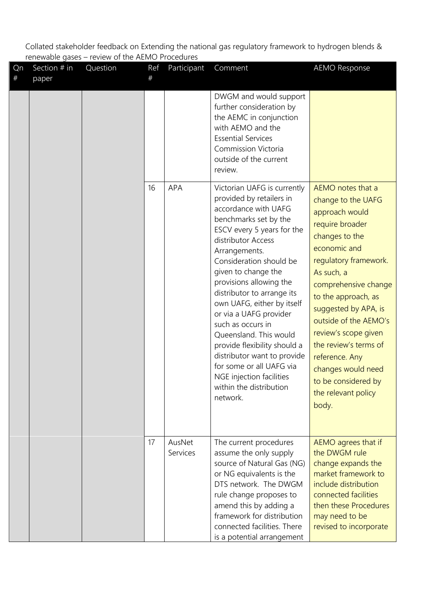| Qn<br>$\#$ | Section # in<br>paper | Question | Ref<br># | Participant        | Comment                                                                                                                                                                                                                                                                                                                                                                                                                                                                                                                                                       | <b>AEMO Response</b>                                                                                                                                                                                                                                                                                                                                                                                  |
|------------|-----------------------|----------|----------|--------------------|---------------------------------------------------------------------------------------------------------------------------------------------------------------------------------------------------------------------------------------------------------------------------------------------------------------------------------------------------------------------------------------------------------------------------------------------------------------------------------------------------------------------------------------------------------------|-------------------------------------------------------------------------------------------------------------------------------------------------------------------------------------------------------------------------------------------------------------------------------------------------------------------------------------------------------------------------------------------------------|
|            |                       |          |          |                    | DWGM and would support<br>further consideration by<br>the AEMC in conjunction<br>with AEMO and the<br><b>Essential Services</b><br>Commission Victoria<br>outside of the current<br>review.                                                                                                                                                                                                                                                                                                                                                                   |                                                                                                                                                                                                                                                                                                                                                                                                       |
|            |                       |          | 16       | <b>APA</b>         | Victorian UAFG is currently<br>provided by retailers in<br>accordance with UAFG<br>benchmarks set by the<br>ESCV every 5 years for the<br>distributor Access<br>Arrangements.<br>Consideration should be<br>given to change the<br>provisions allowing the<br>distributor to arrange its<br>own UAFG, either by itself<br>or via a UAFG provider<br>such as occurs in<br>Queensland. This would<br>provide flexibility should a<br>distributor want to provide<br>for some or all UAFG via<br>NGE injection facilities<br>within the distribution<br>network. | AEMO notes that a<br>change to the UAFG<br>approach would<br>require broader<br>changes to the<br>economic and<br>regulatory framework.<br>As such, a<br>comprehensive change<br>to the approach, as<br>suggested by APA, is<br>outside of the AEMO's<br>review's scope given<br>the review's terms of<br>reference. Any<br>changes would need<br>to be considered by<br>the relevant policy<br>body. |
|            |                       |          | 17       | AusNet<br>Services | The current procedures<br>assume the only supply<br>source of Natural Gas (NG)<br>or NG equivalents is the<br>DTS network. The DWGM<br>rule change proposes to<br>amend this by adding a<br>framework for distribution<br>connected facilities. There<br>is a potential arrangement                                                                                                                                                                                                                                                                           | AEMO agrees that if<br>the DWGM rule<br>change expands the<br>market framework to<br>include distribution<br>connected facilities<br>then these Procedures<br>may need to be<br>revised to incorporate                                                                                                                                                                                                |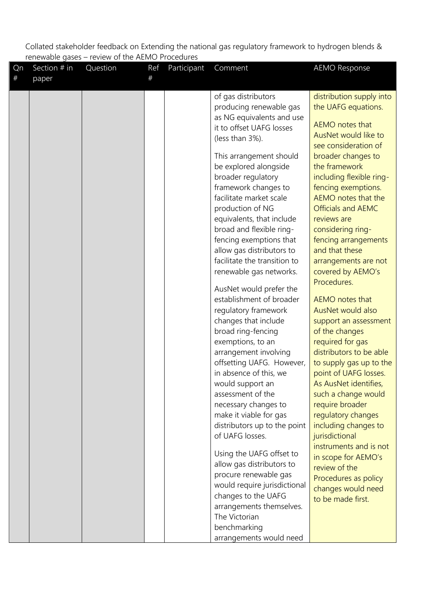| #<br>#<br>paper<br>of gas distributors<br>distribution supply into<br>producing renewable gas<br>the UAFG equations.<br>as NG equivalents and use<br>AEMO notes that<br>it to offset UAFG losses<br>AusNet would like to<br>(less than 3%).<br>see consideration of<br>This arrangement should<br>broader changes to<br>the framework<br>be explored alongside<br>broader regulatory<br>including flexible ring-<br>framework changes to<br>fencing exemptions.<br>AEMO notes that the<br>facilitate market scale<br>production of NG<br><b>Officials and AEMC</b><br>equivalents, that include<br>reviews are<br>broad and flexible ring-<br>considering ring-<br>fencing exemptions that<br>fencing arrangements<br>allow gas distributors to<br>and that these<br>facilitate the transition to<br>arrangements are not<br>renewable gas networks.<br>covered by AEMO's<br>Procedures.<br>AusNet would prefer the<br>establishment of broader<br>AEMO notes that<br>regulatory framework<br>AusNet would also<br>changes that include<br>support an assessment<br>broad ring-fencing<br>of the changes<br>exemptions, to an<br>required for gas<br>distributors to be able<br>arrangement involving<br>offsetting UAFG. However,<br>to supply gas up to the<br>in absence of this, we<br>point of UAFG losses.<br>As AusNet identifies,<br>would support an<br>assessment of the<br>such a change would<br>require broader<br>necessary changes to<br>make it viable for gas<br>regulatory changes | <b>AEMO Response</b> |
|------------------------------------------------------------------------------------------------------------------------------------------------------------------------------------------------------------------------------------------------------------------------------------------------------------------------------------------------------------------------------------------------------------------------------------------------------------------------------------------------------------------------------------------------------------------------------------------------------------------------------------------------------------------------------------------------------------------------------------------------------------------------------------------------------------------------------------------------------------------------------------------------------------------------------------------------------------------------------------------------------------------------------------------------------------------------------------------------------------------------------------------------------------------------------------------------------------------------------------------------------------------------------------------------------------------------------------------------------------------------------------------------------------------------------------------------------------------------------------------------------|----------------------|
|                                                                                                                                                                                                                                                                                                                                                                                                                                                                                                                                                                                                                                                                                                                                                                                                                                                                                                                                                                                                                                                                                                                                                                                                                                                                                                                                                                                                                                                                                                      |                      |
| distributors up to the point<br>including changes to                                                                                                                                                                                                                                                                                                                                                                                                                                                                                                                                                                                                                                                                                                                                                                                                                                                                                                                                                                                                                                                                                                                                                                                                                                                                                                                                                                                                                                                 |                      |
|                                                                                                                                                                                                                                                                                                                                                                                                                                                                                                                                                                                                                                                                                                                                                                                                                                                                                                                                                                                                                                                                                                                                                                                                                                                                                                                                                                                                                                                                                                      |                      |
| of UAFG losses.<br>jurisdictional<br>instruments and is not<br>Using the UAFG offset to<br>in scope for AEMO's<br>allow gas distributors to<br>review of the<br>procure renewable gas<br>Procedures as policy<br>would require jurisdictional<br>changes would need<br>changes to the UAFG<br>to be made first.<br>arrangements themselves.<br>The Victorian<br>benchmarking                                                                                                                                                                                                                                                                                                                                                                                                                                                                                                                                                                                                                                                                                                                                                                                                                                                                                                                                                                                                                                                                                                                         |                      |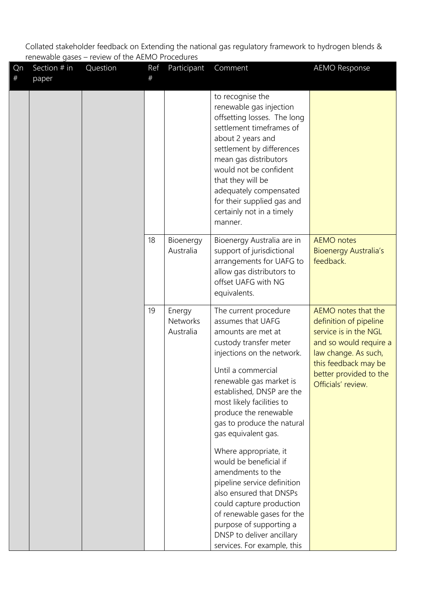| Qn<br>$\#$ | Section # in<br>paper | Question | Ref<br># | Participant                            | Comment                                                                                                                                                                                                                                                                                                                          | <b>AEMO Response</b>                                                                                                                                                                             |
|------------|-----------------------|----------|----------|----------------------------------------|----------------------------------------------------------------------------------------------------------------------------------------------------------------------------------------------------------------------------------------------------------------------------------------------------------------------------------|--------------------------------------------------------------------------------------------------------------------------------------------------------------------------------------------------|
|            |                       |          |          |                                        | to recognise the<br>renewable gas injection<br>offsetting losses. The long<br>settlement timeframes of<br>about 2 years and<br>settlement by differences<br>mean gas distributors<br>would not be confident<br>that they will be<br>adequately compensated<br>for their supplied gas and<br>certainly not in a timely<br>manner. |                                                                                                                                                                                                  |
|            |                       |          | 18       | Bioenergy<br>Australia                 | Bioenergy Australia are in<br>support of jurisdictional<br>arrangements for UAFG to<br>allow gas distributors to<br>offset UAFG with NG<br>equivalents.                                                                                                                                                                          | <b>AEMO</b> notes<br><b>Bioenergy Australia's</b><br>feedback.                                                                                                                                   |
|            |                       |          | 19       | Energy<br><b>Networks</b><br>Australia | The current procedure<br>assumes that UAFG<br>amounts are met at<br>custody transfer meter<br>injections on the network.<br>Until a commercial<br>renewable gas market is<br>established, DNSP are the<br>most likely facilities to<br>produce the renewable<br>gas to produce the natural<br>gas equivalent gas.                | AEMO notes that the<br>definition of pipeline<br>service is in the NGL<br>and so would require a<br>law change. As such,<br>this feedback may be<br>better provided to the<br>Officials' review. |
|            |                       |          |          |                                        | Where appropriate, it<br>would be beneficial if<br>amendments to the<br>pipeline service definition<br>also ensured that DNSPs<br>could capture production<br>of renewable gases for the<br>purpose of supporting a<br>DNSP to deliver ancillary<br>services. For example, this                                                  |                                                                                                                                                                                                  |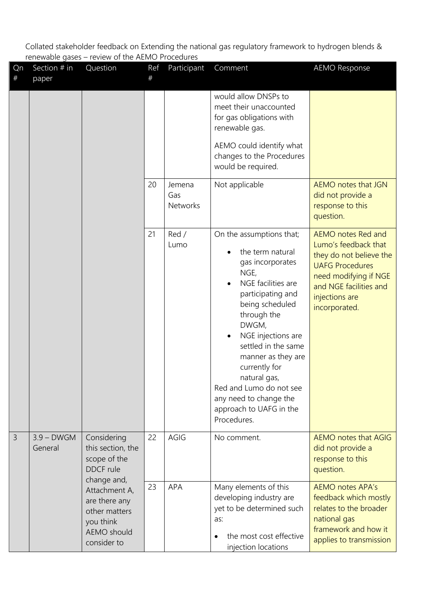| Qn<br># | Section # in<br>paper   | Question                                                                                          | Ref<br># | Participant               | Comment                                                                                                                                                                                                                                                                                                                                                                                                  | <b>AEMO Response</b>                                                                                                                                                                         |
|---------|-------------------------|---------------------------------------------------------------------------------------------------|----------|---------------------------|----------------------------------------------------------------------------------------------------------------------------------------------------------------------------------------------------------------------------------------------------------------------------------------------------------------------------------------------------------------------------------------------------------|----------------------------------------------------------------------------------------------------------------------------------------------------------------------------------------------|
|         |                         |                                                                                                   |          |                           | would allow DNSPs to<br>meet their unaccounted<br>for gas obligations with<br>renewable gas.<br>AEMO could identify what<br>changes to the Procedures<br>would be required.                                                                                                                                                                                                                              |                                                                                                                                                                                              |
|         |                         |                                                                                                   | 20       | Jemena<br>Gas<br>Networks | Not applicable                                                                                                                                                                                                                                                                                                                                                                                           | AEMO notes that JGN<br>did not provide a<br>response to this<br>question.                                                                                                                    |
|         |                         |                                                                                                   | 21       | Red /<br>Lumo             | On the assumptions that;<br>the term natural<br>$\bullet$<br>gas incorporates<br>NGE,<br>NGE facilities are<br>$\bullet$<br>participating and<br>being scheduled<br>through the<br>DWGM,<br>NGE injections are<br>$\bullet$<br>settled in the same<br>manner as they are<br>currently for<br>natural gas,<br>Red and Lumo do not see<br>any need to change the<br>approach to UAFG in the<br>Procedures. | <b>AEMO</b> notes Red and<br>Lumo's feedback that<br>they do not believe the<br><b>UAFG Procedures</b><br>need modifying if NGE<br>and NGE facilities and<br>injections are<br>incorporated. |
| 3       | $3.9 - DWGM$<br>General | Considering<br>this section, the<br>scope of the<br><b>DDCF</b> rule<br>change and,               | 22       | AGIG                      | No comment.                                                                                                                                                                                                                                                                                                                                                                                              | AEMO notes that AGIG<br>did not provide a<br>response to this<br>question.                                                                                                                   |
|         |                         | Attachment A,<br>are there any<br>other matters<br>you think<br><b>AEMO</b> should<br>consider to | 23       | APA                       | Many elements of this<br>developing industry are<br>yet to be determined such<br>as:<br>the most cost effective<br>injection locations                                                                                                                                                                                                                                                                   | <b>AEMO notes APA's</b><br>feedback which mostly<br>relates to the broader<br>national gas<br>framework and how it<br>applies to transmission                                                |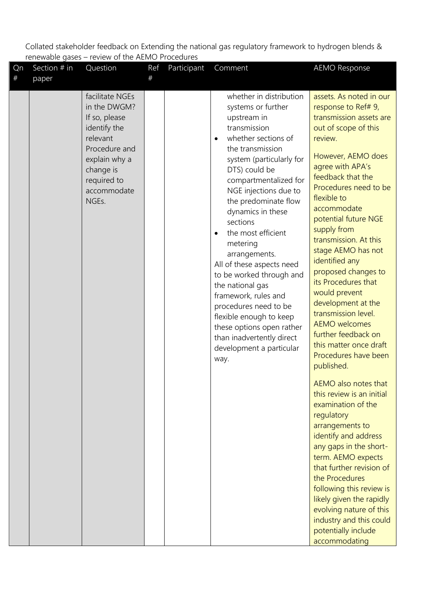| Qn      | Section # in | Question                                                                                                                                                           | Ref | Participant | Comment                                                                                                                                                                                                                                                                                                                                                                                                                                                                                                                                                                                                | <b>AEMO Response</b>                                                                                                                                                                                                                                                                                                                                                                                                                                                                                                                                                  |
|---------|--------------|--------------------------------------------------------------------------------------------------------------------------------------------------------------------|-----|-------------|--------------------------------------------------------------------------------------------------------------------------------------------------------------------------------------------------------------------------------------------------------------------------------------------------------------------------------------------------------------------------------------------------------------------------------------------------------------------------------------------------------------------------------------------------------------------------------------------------------|-----------------------------------------------------------------------------------------------------------------------------------------------------------------------------------------------------------------------------------------------------------------------------------------------------------------------------------------------------------------------------------------------------------------------------------------------------------------------------------------------------------------------------------------------------------------------|
| $^{\#}$ | paper        |                                                                                                                                                                    | #   |             |                                                                                                                                                                                                                                                                                                                                                                                                                                                                                                                                                                                                        |                                                                                                                                                                                                                                                                                                                                                                                                                                                                                                                                                                       |
|         |              | facilitate NGEs<br>in the DWGM?<br>If so, please<br>identify the<br>relevant<br>Procedure and<br>explain why a<br>change is<br>required to<br>accommodate<br>NGEs. |     |             | whether in distribution<br>systems or further<br>upstream in<br>transmission<br>whether sections of<br>$\bullet$<br>the transmission<br>system (particularly for<br>DTS) could be<br>compartmentalized for<br>NGE injections due to<br>the predominate flow<br>dynamics in these<br>sections<br>the most efficient<br>metering<br>arrangements.<br>All of these aspects need<br>to be worked through and<br>the national gas<br>framework, rules and<br>procedures need to be<br>flexible enough to keep<br>these options open rather<br>than inadvertently direct<br>development a particular<br>way. | assets. As noted in our<br>response to Ref# 9,<br>transmission assets are<br>out of scope of this<br>review.<br>However, AEMO does<br>agree with APA's<br>feedback that the<br>Procedures need to be<br>flexible to<br>accommodate<br>potential future NGE<br>supply from<br>transmission. At this<br>stage AEMO has not<br>identified any<br>proposed changes to<br>its Procedures that<br>would prevent<br>development at the<br>transmission level.<br><b>AEMO</b> welcomes<br>further feedback on<br>this matter once draft<br>Procedures have been<br>published. |
|         |              |                                                                                                                                                                    |     |             |                                                                                                                                                                                                                                                                                                                                                                                                                                                                                                                                                                                                        | AEMO also notes that<br>this review is an initial<br>examination of the<br>regulatory<br>arrangements to<br>identify and address<br>any gaps in the short-<br>term. AEMO expects<br>that further revision of<br>the Procedures<br>following this review is<br>likely given the rapidly<br>evolving nature of this<br>industry and this could<br>potentially include<br>accommodating                                                                                                                                                                                  |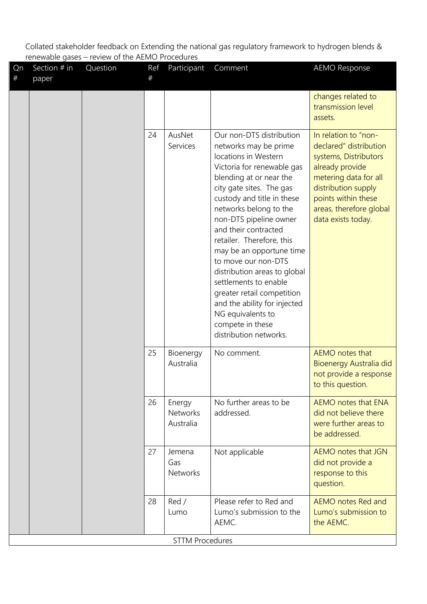| Qn<br>$\#$ | Section # in<br>paper | Question | Ref<br>#                               | Participant                                                                                                                                                                                                                                                                                                                                                                                                                                                                                                                                        | Comment                                                                                                                                                                                                            | <b>AEMO Response</b>                                                                             |
|------------|-----------------------|----------|----------------------------------------|----------------------------------------------------------------------------------------------------------------------------------------------------------------------------------------------------------------------------------------------------------------------------------------------------------------------------------------------------------------------------------------------------------------------------------------------------------------------------------------------------------------------------------------------------|--------------------------------------------------------------------------------------------------------------------------------------------------------------------------------------------------------------------|--------------------------------------------------------------------------------------------------|
|            |                       |          |                                        |                                                                                                                                                                                                                                                                                                                                                                                                                                                                                                                                                    |                                                                                                                                                                                                                    | changes related to<br>transmission level<br>assets.                                              |
|            |                       | 24       | AusNet<br>Services                     | Our non-DTS distribution<br>networks may be prime<br>locations in Western<br>Victoria for renewable gas<br>blending at or near the<br>city gate sites. The gas<br>custody and title in these<br>networks belong to the<br>non-DTS pipeline owner<br>and their contracted<br>retailer. Therefore, this<br>may be an opportune time<br>to move our non-DTS<br>distribution areas to global<br>settlements to enable<br>greater retail competition<br>and the ability for injected<br>NG equivalents to<br>compete in these<br>distribution networks. | In relation to "non-<br>declared" distribution<br>systems, Distributors<br>already provide<br>metering data for all<br>distribution supply<br>points within these<br>areas, therefore global<br>data exists today. |                                                                                                  |
|            |                       |          | 25                                     | Bioenergy<br>Australia                                                                                                                                                                                                                                                                                                                                                                                                                                                                                                                             | No comment.                                                                                                                                                                                                        | <b>AEMO</b> notes that<br>Bioenergy Australia did<br>not provide a response<br>to this question. |
|            |                       | 26       | Energy<br><b>Networks</b><br>Australia | No further areas to be<br>addressed.                                                                                                                                                                                                                                                                                                                                                                                                                                                                                                               | AEMO notes that ENA<br>did not believe there<br>were further areas to<br>be addressed.                                                                                                                             |                                                                                                  |
|            |                       |          | 27                                     | Jemena<br>Gas<br><b>Networks</b>                                                                                                                                                                                                                                                                                                                                                                                                                                                                                                                   | Not applicable                                                                                                                                                                                                     | AEMO notes that JGN<br>did not provide a<br>response to this<br>question.                        |
|            |                       |          | 28                                     | Red/<br>Lumo                                                                                                                                                                                                                                                                                                                                                                                                                                                                                                                                       | Please refer to Red and<br>Lumo's submission to the<br>AEMC.                                                                                                                                                       | AEMO notes Red and<br>Lumo's submission to<br>the AEMC.                                          |
|            |                       |          |                                        | <b>STTM Procedures</b>                                                                                                                                                                                                                                                                                                                                                                                                                                                                                                                             |                                                                                                                                                                                                                    |                                                                                                  |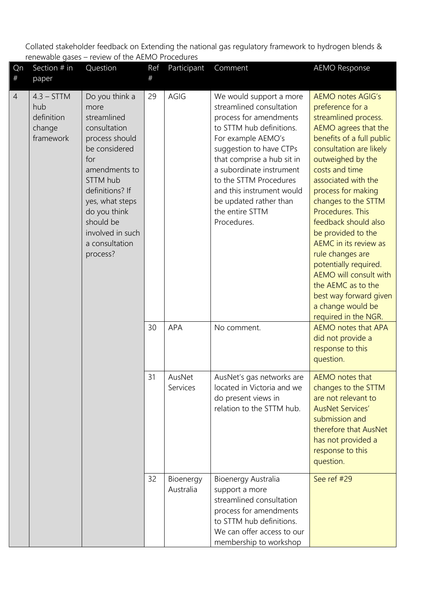| Qn<br>$^{\#}$  | Section # in<br>paper                                    | Question                                                                                                                                                                                                                                                      | Ref<br>#           | Participant                                                                                                 | Comment                                                                                                                                                                                                                                                                                                                                 | <b>AEMO Response</b>                                                                                                                                                                                                                                                                                                                                                                                                                                                                                                                  |
|----------------|----------------------------------------------------------|---------------------------------------------------------------------------------------------------------------------------------------------------------------------------------------------------------------------------------------------------------------|--------------------|-------------------------------------------------------------------------------------------------------------|-----------------------------------------------------------------------------------------------------------------------------------------------------------------------------------------------------------------------------------------------------------------------------------------------------------------------------------------|---------------------------------------------------------------------------------------------------------------------------------------------------------------------------------------------------------------------------------------------------------------------------------------------------------------------------------------------------------------------------------------------------------------------------------------------------------------------------------------------------------------------------------------|
| $\overline{4}$ | $4.3 - STTM$<br>hub<br>definition<br>change<br>framework | Do you think a<br>more<br>streamlined<br>consultation<br>process should<br>be considered<br>for<br>amendments to<br>STTM hub<br>definitions? If<br>yes, what steps<br>do you think<br>should be<br>involved in such<br>a consultation<br>process?<br>30<br>31 | 29                 | AGIG                                                                                                        | We would support a more<br>streamlined consultation<br>process for amendments<br>to STTM hub definitions.<br>For example AEMO's<br>suggestion to have CTPs<br>that comprise a hub sit in<br>a subordinate instrument<br>to the STTM Procedures<br>and this instrument would<br>be updated rather than<br>the entire STTM<br>Procedures. | <b>AEMO notes AGIG's</b><br>preference for a<br>streamlined process.<br>AEMO agrees that the<br>benefits of a full public<br>consultation are likely<br>outweighed by the<br>costs and time<br>associated with the<br>process for making<br>changes to the STTM<br>Procedures. This<br>feedback should also<br>be provided to the<br><b>AEMC</b> in its review as<br>rule changes are<br>potentially required.<br>AEMO will consult with<br>the AEMC as to the<br>best way forward given<br>a change would be<br>required in the NGR. |
|                |                                                          |                                                                                                                                                                                                                                                               |                    | <b>APA</b>                                                                                                  | No comment.                                                                                                                                                                                                                                                                                                                             | AEMO notes that APA<br>did not provide a<br>response to this<br>question.                                                                                                                                                                                                                                                                                                                                                                                                                                                             |
|                |                                                          |                                                                                                                                                                                                                                                               | AusNet<br>Services | AusNet's gas networks are<br>located in Victoria and we<br>do present views in<br>relation to the STTM hub. | AEMO notes that<br>changes to the STTM<br>are not relevant to<br><b>AusNet Services'</b><br>submission and<br>therefore that AusNet<br>has not provided a<br>response to this<br>question.                                                                                                                                              |                                                                                                                                                                                                                                                                                                                                                                                                                                                                                                                                       |
|                |                                                          |                                                                                                                                                                                                                                                               | 32                 | Bioenergy<br>Australia                                                                                      | Bioenergy Australia<br>support a more<br>streamlined consultation<br>process for amendments<br>to STTM hub definitions.<br>We can offer access to our<br>membership to workshop                                                                                                                                                         | See ref #29                                                                                                                                                                                                                                                                                                                                                                                                                                                                                                                           |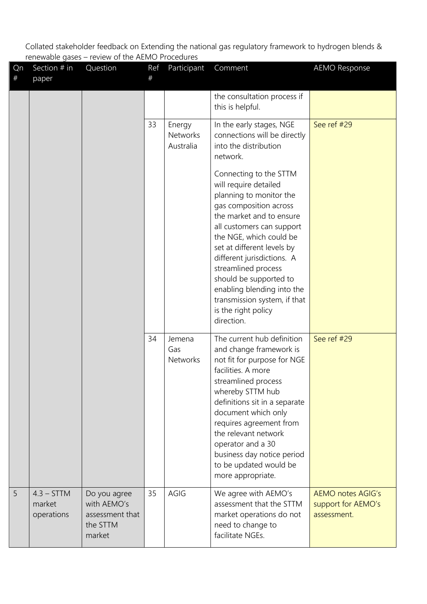| Qn<br>$\#$ | Section # in<br>paper                | Question                                                             | Ref<br># | Participant                            | Comment                                                                                                                                                                                                                                                                                                                                                                                                                                                              | <b>AEMO Response</b>                                          |
|------------|--------------------------------------|----------------------------------------------------------------------|----------|----------------------------------------|----------------------------------------------------------------------------------------------------------------------------------------------------------------------------------------------------------------------------------------------------------------------------------------------------------------------------------------------------------------------------------------------------------------------------------------------------------------------|---------------------------------------------------------------|
|            |                                      |                                                                      |          |                                        | the consultation process if<br>this is helpful.                                                                                                                                                                                                                                                                                                                                                                                                                      |                                                               |
|            |                                      |                                                                      | 33       | Energy<br><b>Networks</b><br>Australia | In the early stages, NGE<br>connections will be directly<br>into the distribution<br>network.<br>Connecting to the STTM<br>will require detailed<br>planning to monitor the<br>gas composition across<br>the market and to ensure<br>all customers can support<br>the NGE, which could be<br>set at different levels by<br>different jurisdictions. A<br>streamlined process<br>should be supported to<br>enabling blending into the<br>transmission system, if that | See ref #29                                                   |
|            |                                      |                                                                      |          |                                        | is the right policy<br>direction.                                                                                                                                                                                                                                                                                                                                                                                                                                    |                                                               |
|            |                                      |                                                                      | 34       | Jemena<br>Gas<br><b>Networks</b>       | The current hub definition<br>and change framework is<br>not fit for purpose for NGE<br>facilities. A more<br>streamlined process<br>whereby STTM hub<br>definitions sit in a separate<br>document which only<br>requires agreement from<br>the relevant network<br>operator and a 30<br>business day notice period<br>to be updated would be<br>more appropriate.                                                                                                   | See ref #29                                                   |
| 5          | $4.3 - STTM$<br>market<br>operations | Do you agree<br>with AEMO's<br>assessment that<br>the STTM<br>market | 35       | AGIG                                   | We agree with AEMO's<br>assessment that the STTM<br>market operations do not<br>need to change to<br>facilitate NGEs.                                                                                                                                                                                                                                                                                                                                                | <b>AEMO notes AGIG's</b><br>support for AEMO's<br>assessment. |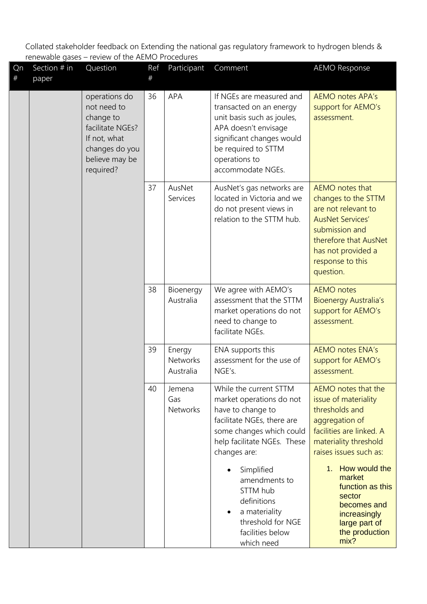| Qn<br>$\#$ | Section $#$ in<br>paper | Question                                                                                                                       | Ref<br># | Participant                            | Comment                                                                                                                                                                                             | <b>AEMO Response</b>                                                                                                                                                                       |
|------------|-------------------------|--------------------------------------------------------------------------------------------------------------------------------|----------|----------------------------------------|-----------------------------------------------------------------------------------------------------------------------------------------------------------------------------------------------------|--------------------------------------------------------------------------------------------------------------------------------------------------------------------------------------------|
|            |                         | operations do<br>not need to<br>change to<br>facilitate NGEs?<br>If not, what<br>changes do you<br>believe may be<br>required? | 36       | <b>APA</b>                             | If NGEs are measured and<br>transacted on an energy<br>unit basis such as joules,<br>APA doesn't envisage<br>significant changes would<br>be required to STTM<br>operations to<br>accommodate NGEs. | <b>AEMO notes APA's</b><br>support for AEMO's<br>assessment.                                                                                                                               |
|            |                         |                                                                                                                                | 37       | AusNet<br>Services                     | AusNet's gas networks are<br>located in Victoria and we<br>do not present views in<br>relation to the STTM hub.                                                                                     | AEMO notes that<br>changes to the STTM<br>are not relevant to<br><b>AusNet Services'</b><br>submission and<br>therefore that AusNet<br>has not provided a<br>response to this<br>question. |
|            |                         |                                                                                                                                | 38       | Bioenergy<br>Australia                 | We agree with AEMO's<br>assessment that the STTM<br>market operations do not<br>need to change to<br>facilitate NGEs.                                                                               | <b>AEMO</b> notes<br><b>Bioenergy Australia's</b><br>support for AEMO's<br>assessment.                                                                                                     |
|            |                         |                                                                                                                                | 39       | Energy<br><b>Networks</b><br>Australia | ENA supports this<br>assessment for the use of<br>NGE's.                                                                                                                                            | <b>AEMO notes ENA's</b><br>support for AEMO's<br>assessment.                                                                                                                               |
|            |                         |                                                                                                                                | 40       | Jemena<br>Gas<br><b>Networks</b>       | While the current STTM<br>market operations do not<br>have to change to<br>facilitate NGEs, there are<br>some changes which could<br>help facilitate NGEs. These<br>changes are:                    | AEMO notes that the<br>issue of materiality<br>thresholds and<br>aggregation of<br>facilities are linked. A<br>materiality threshold<br>raises issues such as:                             |
|            |                         |                                                                                                                                |          |                                        | Simplified<br>$\bullet$<br>amendments to<br>STTM hub<br>definitions<br>a materiality<br>$\bullet$<br>threshold for NGE<br>facilities below<br>which need                                            | 1. How would the<br>market<br>function as this<br>sector<br>becomes and<br>increasingly<br>large part of<br>the production<br>mix?                                                         |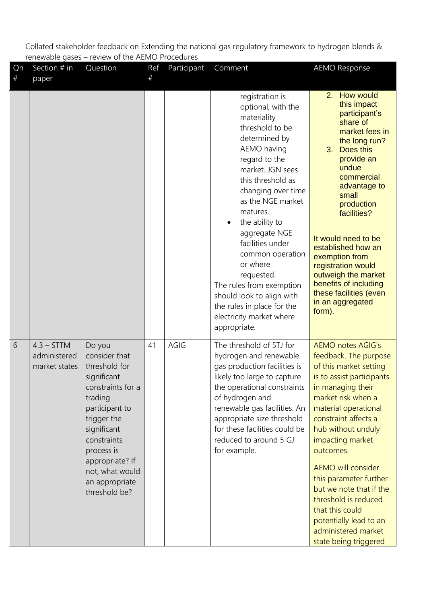| Qn<br>$\#$ | Section $#$ in<br>paper                       | Question                                                                                                                                                                                                                                      | Ref<br># | Participant | Comment                                                                                                                                                                                                                                                                                                                                                                                                                                                                       | <b>AEMO Response</b>                                                                                                                                                                                                                                                                                                                                                                                                                                       |
|------------|-----------------------------------------------|-----------------------------------------------------------------------------------------------------------------------------------------------------------------------------------------------------------------------------------------------|----------|-------------|-------------------------------------------------------------------------------------------------------------------------------------------------------------------------------------------------------------------------------------------------------------------------------------------------------------------------------------------------------------------------------------------------------------------------------------------------------------------------------|------------------------------------------------------------------------------------------------------------------------------------------------------------------------------------------------------------------------------------------------------------------------------------------------------------------------------------------------------------------------------------------------------------------------------------------------------------|
|            |                                               |                                                                                                                                                                                                                                               |          |             | registration is<br>optional, with the<br>materiality<br>threshold to be<br>determined by<br>AEMO having<br>regard to the<br>market. JGN sees<br>this threshold as<br>changing over time<br>as the NGE market<br>matures.<br>the ability to<br>$\bullet$<br>aggregate NGE<br>facilities under<br>common operation<br>or where<br>requested.<br>The rules from exemption<br>should look to align with<br>the rules in place for the<br>electricity market where<br>appropriate. | 2. How would<br>this impact<br>participant's<br>share of<br>market fees in<br>the long run?<br>3 <sub>1</sub><br>Does this<br>provide an<br>undue<br>commercial<br>advantage to<br>small<br>production<br>facilities?<br>It would need to be<br>established how an<br>exemption from<br>registration would<br>outweigh the market<br>benefits of including<br>these facilities (even<br>in an aggregated<br>form).                                         |
| 6          | $4.3 - STTM$<br>administered<br>market states | Do you<br>consider that<br>threshold for<br>significant<br>constraints for a<br>trading<br>participant to<br>trigger the<br>significant<br>constraints<br>process is<br>appropriate? If<br>not, what would<br>an appropriate<br>threshold be? | 41       | AGIG        | The threshold of 5TJ for<br>hydrogen and renewable<br>gas production facilities is<br>likely too large to capture<br>the operational constraints<br>of hydrogen and<br>renewable gas facilities. An<br>appropriate size threshold<br>for these facilities could be<br>reduced to around 5 GJ<br>for example.                                                                                                                                                                  | <b>AEMO notes AGIG's</b><br>feedback. The purpose<br>of this market setting<br>is to assist participants<br>in managing their<br>market risk when a<br>material operational<br>constraint affects a<br>hub without unduly<br>impacting market<br>outcomes.<br>AEMO will consider<br>this parameter further<br>but we note that if the<br>threshold is reduced<br>that this could<br>potentially lead to an<br>administered market<br>state being triggered |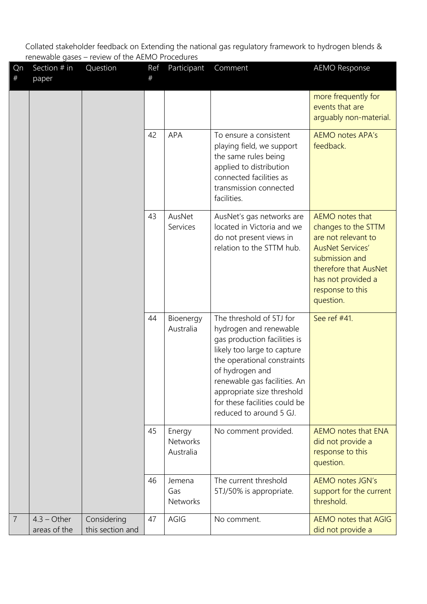| Qn<br># | Section # in<br>paper         | Question                        | Ref<br># | Participant                            | Comment                                                                                                                                                                                                                                                                                       | <b>AEMO Response</b>                                                                                                                                                                       |
|---------|-------------------------------|---------------------------------|----------|----------------------------------------|-----------------------------------------------------------------------------------------------------------------------------------------------------------------------------------------------------------------------------------------------------------------------------------------------|--------------------------------------------------------------------------------------------------------------------------------------------------------------------------------------------|
|         |                               |                                 |          |                                        |                                                                                                                                                                                                                                                                                               | more frequently for<br>events that are<br>arguably non-material.                                                                                                                           |
|         |                               |                                 | 42       | <b>APA</b>                             | To ensure a consistent<br>playing field, we support<br>the same rules being<br>applied to distribution<br>connected facilities as<br>transmission connected<br>facilities.                                                                                                                    | <b>AEMO notes APA's</b><br>feedback.                                                                                                                                                       |
|         |                               |                                 | 43       | AusNet<br>Services                     | AusNet's gas networks are<br>located in Victoria and we<br>do not present views in<br>relation to the STTM hub.                                                                                                                                                                               | AEMO notes that<br>changes to the STTM<br>are not relevant to<br><b>AusNet Services'</b><br>submission and<br>therefore that AusNet<br>has not provided a<br>response to this<br>question. |
|         |                               |                                 | 44       | Bioenergy<br>Australia                 | The threshold of 5TJ for<br>hydrogen and renewable<br>gas production facilities is<br>likely too large to capture<br>the operational constraints<br>of hydrogen and<br>renewable gas facilities. An<br>appropriate size threshold<br>for these facilities could be<br>reduced to around 5 GJ. | See ref #41.                                                                                                                                                                               |
|         |                               |                                 | 45       | Energy<br><b>Networks</b><br>Australia | No comment provided.                                                                                                                                                                                                                                                                          | AEMO notes that ENA<br>did not provide a<br>response to this<br>question.                                                                                                                  |
|         |                               |                                 | 46       | Jemena<br>Gas<br><b>Networks</b>       | The current threshold<br>5TJ/50% is appropriate.                                                                                                                                                                                                                                              | <b>AEMO notes JGN's</b><br>support for the current<br>threshold.                                                                                                                           |
| 7       | $4.3 - Other$<br>areas of the | Considering<br>this section and | 47       | AGIG                                   | No comment.                                                                                                                                                                                                                                                                                   | <b>AEMO notes that AGIG</b><br>did not provide a                                                                                                                                           |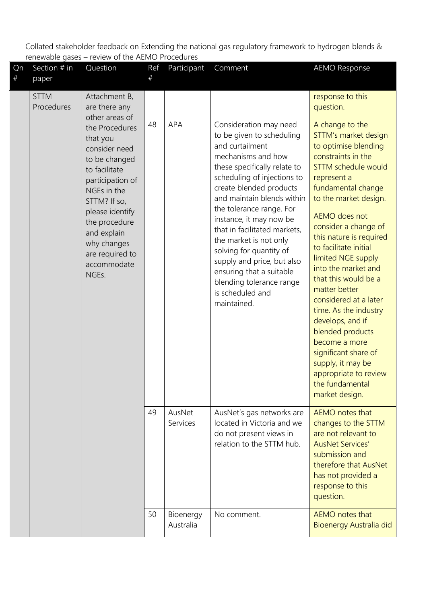| Qn<br>$^{\#}$ | Section # in<br>paper     | Question                                                                                                                                                                                                                             | Ref<br># | Participant            | Comment                                                                                                                                                                                                                                                                                                                                                                                                                                                                                   | <b>AEMO Response</b>                                                                                                                                                                                                                                                                                                                                                                                                                                                                                                                                                                              |
|---------------|---------------------------|--------------------------------------------------------------------------------------------------------------------------------------------------------------------------------------------------------------------------------------|----------|------------------------|-------------------------------------------------------------------------------------------------------------------------------------------------------------------------------------------------------------------------------------------------------------------------------------------------------------------------------------------------------------------------------------------------------------------------------------------------------------------------------------------|---------------------------------------------------------------------------------------------------------------------------------------------------------------------------------------------------------------------------------------------------------------------------------------------------------------------------------------------------------------------------------------------------------------------------------------------------------------------------------------------------------------------------------------------------------------------------------------------------|
|               | <b>STTM</b><br>Procedures | Attachment B,<br>are there any<br>other areas of                                                                                                                                                                                     |          |                        |                                                                                                                                                                                                                                                                                                                                                                                                                                                                                           | response to this<br>question.                                                                                                                                                                                                                                                                                                                                                                                                                                                                                                                                                                     |
|               | NGEs.                     | the Procedures<br>that you<br>consider need<br>to be changed<br>to facilitate<br>participation of<br>NGEs in the<br>STTM? If so,<br>please identify<br>the procedure<br>and explain<br>why changes<br>are required to<br>accommodate | 48       | APA                    | Consideration may need<br>to be given to scheduling<br>and curtailment<br>mechanisms and how<br>these specifically relate to<br>scheduling of injections to<br>create blended products<br>and maintain blends within<br>the tolerance range. For<br>instance, it may now be<br>that in facilitated markets,<br>the market is not only<br>solving for quantity of<br>supply and price, but also<br>ensuring that a suitable<br>blending tolerance range<br>is scheduled and<br>maintained. | A change to the<br>STTM's market design<br>to optimise blending<br>constraints in the<br><b>STTM schedule would</b><br>represent a<br>fundamental change<br>to the market design.<br><b>AEMO</b> does not<br>consider a change of<br>this nature is required<br>to facilitate initial<br>limited NGE supply<br>into the market and<br>that this would be a<br>matter better<br>considered at a later<br>time. As the industry<br>develops, and if<br>blended products<br>become a more<br>significant share of<br>supply, it may be<br>appropriate to review<br>the fundamental<br>market design. |
|               |                           | 49                                                                                                                                                                                                                                   |          | AusNet<br>Services     | AusNet's gas networks are<br>located in Victoria and we<br>do not present views in<br>relation to the STTM hub.                                                                                                                                                                                                                                                                                                                                                                           | AEMO notes that<br>changes to the STTM<br>are not relevant to<br><b>AusNet Services'</b><br>submission and<br>therefore that AusNet<br>has not provided a<br>response to this<br>question.                                                                                                                                                                                                                                                                                                                                                                                                        |
|               |                           |                                                                                                                                                                                                                                      | 50       | Bioenergy<br>Australia | No comment.                                                                                                                                                                                                                                                                                                                                                                                                                                                                               | AEMO notes that<br>Bioenergy Australia did                                                                                                                                                                                                                                                                                                                                                                                                                                                                                                                                                        |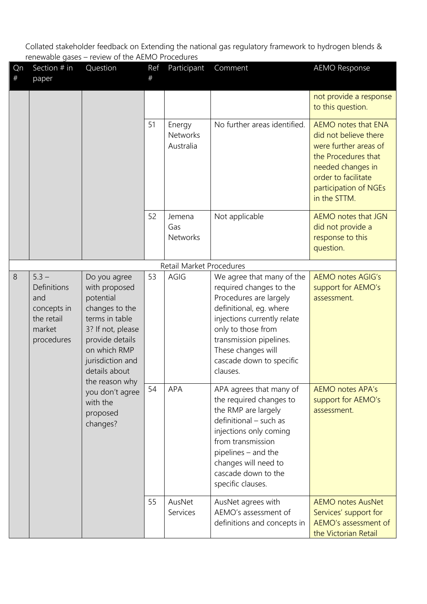| Qn<br>$\#$ | Section $#$ in<br>paper                                                            | Question                                                                                                                                                                                      | Ref<br>#   | Participant                                                                                                                                                                                                                                   | Comment                                                                                                                                                                                                                                                 | <b>AEMO Response</b>                                                                                                                                                              |
|------------|------------------------------------------------------------------------------------|-----------------------------------------------------------------------------------------------------------------------------------------------------------------------------------------------|------------|-----------------------------------------------------------------------------------------------------------------------------------------------------------------------------------------------------------------------------------------------|---------------------------------------------------------------------------------------------------------------------------------------------------------------------------------------------------------------------------------------------------------|-----------------------------------------------------------------------------------------------------------------------------------------------------------------------------------|
|            |                                                                                    |                                                                                                                                                                                               |            |                                                                                                                                                                                                                                               |                                                                                                                                                                                                                                                         | not provide a response<br>to this question.                                                                                                                                       |
|            |                                                                                    |                                                                                                                                                                                               | 51         | Energy<br>Networks<br>Australia                                                                                                                                                                                                               | No further areas identified.                                                                                                                                                                                                                            | AEMO notes that ENA<br>did not believe there<br>were further areas of<br>the Procedures that<br>needed changes in<br>order to facilitate<br>participation of NGEs<br>in the STTM. |
|            |                                                                                    |                                                                                                                                                                                               | 52         | Jemena<br>Gas                                                                                                                                                                                                                                 | Not applicable                                                                                                                                                                                                                                          | AEMO notes that JGN                                                                                                                                                               |
|            |                                                                                    |                                                                                                                                                                                               |            | Networks                                                                                                                                                                                                                                      |                                                                                                                                                                                                                                                         | did not provide a<br>response to this<br>question.                                                                                                                                |
|            |                                                                                    |                                                                                                                                                                                               |            | Retail Market Procedures                                                                                                                                                                                                                      |                                                                                                                                                                                                                                                         |                                                                                                                                                                                   |
| 8          | $5.3 -$<br>Definitions<br>and<br>concepts in<br>the retail<br>market<br>procedures | Do you agree<br>with proposed<br>potential<br>changes to the<br>terms in table<br>3? If not, please<br>provide details<br>on which RMP<br>jurisdiction and<br>details about<br>the reason why | 53         | AGIG                                                                                                                                                                                                                                          | We agree that many of the<br>required changes to the<br>Procedures are largely<br>definitional, eg. where<br>injections currently relate<br>only to those from<br>transmission pipelines.<br>These changes will<br>cascade down to specific<br>clauses. | <b>AEMO notes AGIG's</b><br>support for AEMO's<br>assessment.                                                                                                                     |
|            | you don't agree<br>with the<br>proposed<br>changes?                                | 54                                                                                                                                                                                            | <b>APA</b> | APA agrees that many of<br>the required changes to<br>the RMP are largely<br>definitional - such as<br>injections only coming<br>from transmission<br>pipelines - and the<br>changes will need to<br>cascade down to the<br>specific clauses. | <b>AEMO notes APA's</b><br>support for AEMO's<br>assessment.                                                                                                                                                                                            |                                                                                                                                                                                   |
|            |                                                                                    |                                                                                                                                                                                               | 55         | AusNet<br>Services                                                                                                                                                                                                                            | AusNet agrees with<br>AEMO's assessment of<br>definitions and concepts in                                                                                                                                                                               | <b>AEMO notes AusNet</b><br>Services' support for<br>AEMO's assessment of<br>the Victorian Retail                                                                                 |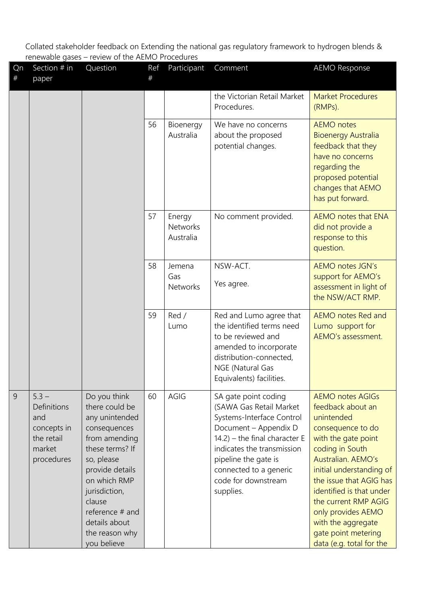| Qn<br># | Section # in<br>paper                                                              | Question                                                                                                                                                                                                                                              | Ref<br>$\#$ | Participant                            | Comment                                                                                                                                                                                                                                                       | <b>AEMO Response</b>                                                                                                                                                                                                                                                                                                                                      |
|---------|------------------------------------------------------------------------------------|-------------------------------------------------------------------------------------------------------------------------------------------------------------------------------------------------------------------------------------------------------|-------------|----------------------------------------|---------------------------------------------------------------------------------------------------------------------------------------------------------------------------------------------------------------------------------------------------------------|-----------------------------------------------------------------------------------------------------------------------------------------------------------------------------------------------------------------------------------------------------------------------------------------------------------------------------------------------------------|
|         |                                                                                    |                                                                                                                                                                                                                                                       |             |                                        | the Victorian Retail Market<br>Procedures.                                                                                                                                                                                                                    | <b>Market Procedures</b><br>(RMPs).                                                                                                                                                                                                                                                                                                                       |
|         |                                                                                    |                                                                                                                                                                                                                                                       | 56          | Bioenergy<br>Australia                 | We have no concerns<br>about the proposed<br>potential changes.                                                                                                                                                                                               | <b>AEMO</b> notes<br><b>Bioenergy Australia</b><br>feedback that they<br>have no concerns<br>regarding the<br>proposed potential<br>changes that AEMO<br>has put forward.                                                                                                                                                                                 |
|         |                                                                                    |                                                                                                                                                                                                                                                       | 57          | Energy<br><b>Networks</b><br>Australia | No comment provided.                                                                                                                                                                                                                                          | AEMO notes that ENA<br>did not provide a<br>response to this<br>question.                                                                                                                                                                                                                                                                                 |
|         |                                                                                    |                                                                                                                                                                                                                                                       | 58          | Jemena<br>Gas<br><b>Networks</b>       | NSW-ACT.<br>Yes agree.                                                                                                                                                                                                                                        | <b>AEMO notes JGN's</b><br>support for AEMO's<br>assessment in light of<br>the NSW/ACT RMP.                                                                                                                                                                                                                                                               |
|         |                                                                                    |                                                                                                                                                                                                                                                       | 59          | Red /<br>Lumo                          | Red and Lumo agree that<br>the identified terms need<br>to be reviewed and<br>amended to incorporate<br>distribution-connected,<br>NGE (Natural Gas<br>Equivalents) facilities.                                                                               | <b>AEMO</b> notes Red and<br>Lumo support for<br>AEMO's assessment.                                                                                                                                                                                                                                                                                       |
| 9       | $5.3 -$<br>Definitions<br>and<br>concepts in<br>the retail<br>market<br>procedures | Do you think<br>there could be<br>any unintended<br>consequences<br>from amending<br>these terms? If<br>so, please<br>provide details<br>on which RMP<br>jurisdiction,<br>clause<br>reference # and<br>details about<br>the reason why<br>you believe | 60          | AGIG                                   | SA gate point coding<br>(SAWA Gas Retail Market<br>Systems-Interface Control<br>Document - Appendix D<br>$14.2$ ) – the final character E<br>indicates the transmission<br>pipeline the gate is<br>connected to a generic<br>code for downstream<br>supplies. | <b>AEMO notes AGIGs</b><br>feedback about an<br>unintended<br>consequence to do<br>with the gate point<br>coding in South<br>Australian. AEMO's<br>initial understanding of<br>the issue that AGIG has<br>identified is that under<br>the current RMP AGIG<br>only provides AEMO<br>with the aggregate<br>gate point metering<br>data (e.g. total for the |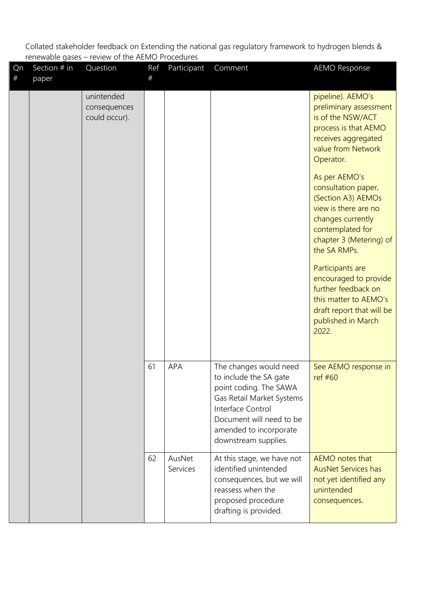| Qn<br># | Section $#$ in<br>paper | Question                                    | Ref<br># | Participant        | Comment                                                                                                                                                                                                    | <b>AEMO Response</b>                                                                                                                                                                                                                                                                                                            |
|---------|-------------------------|---------------------------------------------|----------|--------------------|------------------------------------------------------------------------------------------------------------------------------------------------------------------------------------------------------------|---------------------------------------------------------------------------------------------------------------------------------------------------------------------------------------------------------------------------------------------------------------------------------------------------------------------------------|
|         |                         | unintended<br>consequences<br>could occur). |          |                    |                                                                                                                                                                                                            | pipeline). AEMO's<br>preliminary assessment<br>is of the NSW/ACT<br>process is that AEMO<br>receives aggregated<br>value from Network<br>Operator.                                                                                                                                                                              |
|         |                         |                                             |          |                    |                                                                                                                                                                                                            | As per AEMO's<br>consultation paper,<br>(Section A3) AEMOs<br>view is there are no<br>changes currently<br>contemplated for<br>chapter 3 (Metering) of<br>the SA RMPs.<br>Participants are<br>encouraged to provide<br>further feedback on<br>this matter to AEMO's<br>draft report that will be<br>published in March<br>2022. |
|         |                         |                                             | 61       | APA                | The changes would need<br>to include the SA gate<br>point coding. The SAWA<br>Gas Retail Market Systems<br>Interface Control<br>Document will need to be<br>amended to incorporate<br>downstream supplies. | See AEMO response in<br>ref #60                                                                                                                                                                                                                                                                                                 |
|         |                         |                                             | 62       | AusNet<br>Services | At this stage, we have not<br>identified unintended<br>consequences, but we will<br>reassess when the<br>proposed procedure<br>drafting is provided.                                                       | AEMO notes that<br><b>AusNet Services has</b><br>not yet identified any<br>unintended<br>consequences.                                                                                                                                                                                                                          |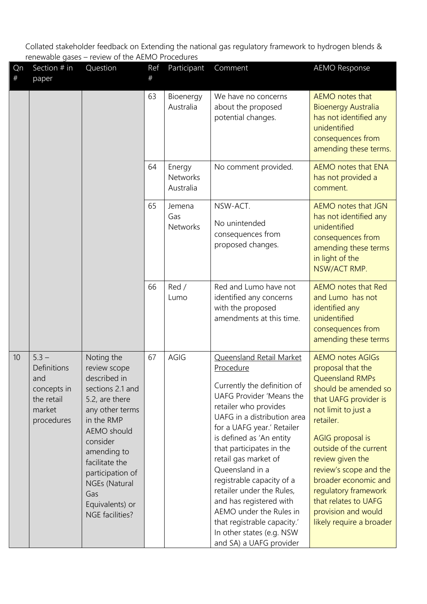| Qn<br>$\#$ | Section # in<br>paper                                                              | Question                                                                                                                                                                                                                                                               | Ref<br># | Participant                            | Comment                                                                                                                                                                                                                                                                                                                                                                                                                                                                                          | <b>AEMO Response</b>                                                                                                                                                                                                                                                                                                                                                        |
|------------|------------------------------------------------------------------------------------|------------------------------------------------------------------------------------------------------------------------------------------------------------------------------------------------------------------------------------------------------------------------|----------|----------------------------------------|--------------------------------------------------------------------------------------------------------------------------------------------------------------------------------------------------------------------------------------------------------------------------------------------------------------------------------------------------------------------------------------------------------------------------------------------------------------------------------------------------|-----------------------------------------------------------------------------------------------------------------------------------------------------------------------------------------------------------------------------------------------------------------------------------------------------------------------------------------------------------------------------|
|            |                                                                                    |                                                                                                                                                                                                                                                                        | 63       | Bioenergy<br>Australia                 | We have no concerns<br>about the proposed<br>potential changes.                                                                                                                                                                                                                                                                                                                                                                                                                                  | AEMO notes that<br><b>Bioenergy Australia</b><br>has not identified any<br>unidentified<br>consequences from<br>amending these terms.                                                                                                                                                                                                                                       |
|            |                                                                                    |                                                                                                                                                                                                                                                                        | 64       | Energy<br><b>Networks</b><br>Australia | No comment provided.                                                                                                                                                                                                                                                                                                                                                                                                                                                                             | AEMO notes that ENA<br>has not provided a<br>comment.                                                                                                                                                                                                                                                                                                                       |
|            |                                                                                    |                                                                                                                                                                                                                                                                        | 65       | Jemena<br>Gas<br><b>Networks</b>       | NSW-ACT.<br>No unintended<br>consequences from<br>proposed changes.                                                                                                                                                                                                                                                                                                                                                                                                                              | AEMO notes that JGN<br>has not identified any<br>unidentified<br>consequences from<br>amending these terms<br>in light of the<br>NSW/ACT RMP.                                                                                                                                                                                                                               |
|            |                                                                                    |                                                                                                                                                                                                                                                                        | 66       | Red /<br>Lumo                          | Red and Lumo have not<br>identified any concerns<br>with the proposed<br>amendments at this time.                                                                                                                                                                                                                                                                                                                                                                                                | <b>AEMO</b> notes that Red<br>and Lumo has not<br>identified any<br>unidentified<br>consequences from<br>amending these terms                                                                                                                                                                                                                                               |
| 10         | $5.3 -$<br>Definitions<br>and<br>concepts in<br>the retail<br>market<br>procedures | Noting the<br>review scope<br>described in<br>sections 2.1 and<br>5.2, are there<br>any other terms<br>in the RMP<br><b>AEMO</b> should<br>consider<br>amending to<br>facilitate the<br>participation of<br>NGEs (Natural<br>Gas<br>Equivalents) or<br>NGE facilities? | 67       | AGIG                                   | Queensland Retail Market<br>Procedure<br>Currently the definition of<br>UAFG Provider 'Means the<br>retailer who provides<br>UAFG in a distribution area<br>for a UAFG year.' Retailer<br>is defined as 'An entity<br>that participates in the<br>retail gas market of<br>Queensland in a<br>registrable capacity of a<br>retailer under the Rules,<br>and has registered with<br>AEMO under the Rules in<br>that registrable capacity.'<br>In other states (e.g. NSW<br>and SA) a UAFG provider | <b>AEMO notes AGIGs</b><br>proposal that the<br>Queensland RMPs<br>should be amended so<br>that UAFG provider is<br>not limit to just a<br>retailer.<br>AGIG proposal is<br>outside of the current<br>review given the<br>review's scope and the<br>broader economic and<br>regulatory framework<br>that relates to UAFG<br>provision and would<br>likely require a broader |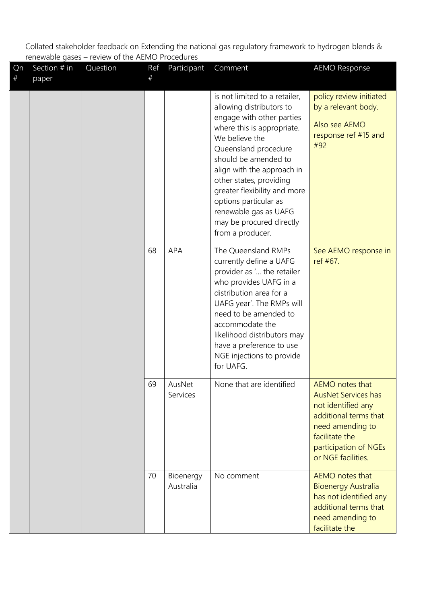| Qn<br># | Section # in<br>paper | Question | Ref<br># | Participant            | Comment                                                                                                                                                                                                                                                                                                                                                                           | <b>AEMO Response</b>                                                                                                                                                              |
|---------|-----------------------|----------|----------|------------------------|-----------------------------------------------------------------------------------------------------------------------------------------------------------------------------------------------------------------------------------------------------------------------------------------------------------------------------------------------------------------------------------|-----------------------------------------------------------------------------------------------------------------------------------------------------------------------------------|
|         |                       |          |          |                        | is not limited to a retailer,<br>allowing distributors to<br>engage with other parties<br>where this is appropriate.<br>We believe the<br>Queensland procedure<br>should be amended to<br>align with the approach in<br>other states, providing<br>greater flexibility and more<br>options particular as<br>renewable gas as UAFG<br>may be procured directly<br>from a producer. | policy review initiated<br>by a relevant body.<br>Also see AEMO<br>response ref #15 and<br>#92                                                                                    |
|         |                       |          | 68       | <b>APA</b>             | The Queensland RMPs<br>currently define a UAFG<br>provider as ' the retailer<br>who provides UAFG in a<br>distribution area for a<br>UAFG year'. The RMPs will<br>need to be amended to<br>accommodate the<br>likelihood distributors may<br>have a preference to use<br>NGE injections to provide<br>for UAFG.                                                                   | See AEMO response in<br>ref #67.                                                                                                                                                  |
|         |                       |          | 69       | AusNet<br>Services     | None that are identified                                                                                                                                                                                                                                                                                                                                                          | AEMO notes that<br><b>AusNet Services has</b><br>not identified any<br>additional terms that<br>need amending to<br>facilitate the<br>participation of NGEs<br>or NGE facilities. |
|         |                       |          | 70       | Bioenergy<br>Australia | No comment                                                                                                                                                                                                                                                                                                                                                                        | AEMO notes that<br><b>Bioenergy Australia</b><br>has not identified any<br>additional terms that<br>need amending to<br>facilitate the                                            |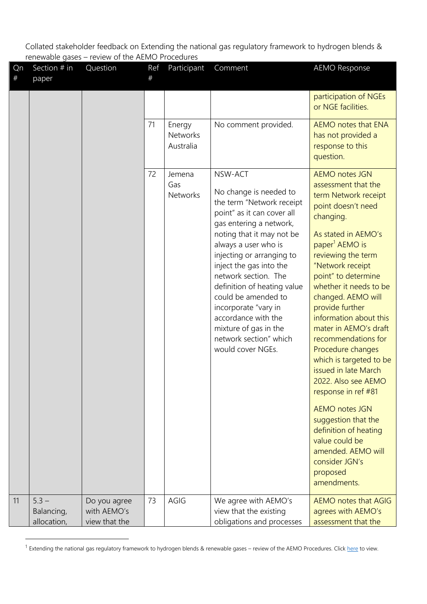| Qn<br>$^{\#}$ | Section # in<br>paper                | Question                                     | Ref<br># | Participant                            | Comment                                                                                                                                                                                                                                                                                                                                                                                                                                   | <b>AEMO Response</b>                                                                                                                                                                                                                                                                                                                                                                                                                                                                                                                                                                                                                                           |
|---------------|--------------------------------------|----------------------------------------------|----------|----------------------------------------|-------------------------------------------------------------------------------------------------------------------------------------------------------------------------------------------------------------------------------------------------------------------------------------------------------------------------------------------------------------------------------------------------------------------------------------------|----------------------------------------------------------------------------------------------------------------------------------------------------------------------------------------------------------------------------------------------------------------------------------------------------------------------------------------------------------------------------------------------------------------------------------------------------------------------------------------------------------------------------------------------------------------------------------------------------------------------------------------------------------------|
|               |                                      |                                              |          |                                        |                                                                                                                                                                                                                                                                                                                                                                                                                                           | participation of NGEs<br>or NGE facilities.                                                                                                                                                                                                                                                                                                                                                                                                                                                                                                                                                                                                                    |
|               |                                      |                                              | 71       | Energy<br><b>Networks</b><br>Australia | No comment provided.                                                                                                                                                                                                                                                                                                                                                                                                                      | AEMO notes that ENA<br>has not provided a<br>response to this<br>question.                                                                                                                                                                                                                                                                                                                                                                                                                                                                                                                                                                                     |
|               |                                      |                                              | 72       | Jemena<br>Gas<br><b>Networks</b>       | NSW-ACT<br>No change is needed to<br>the term "Network receipt<br>point" as it can cover all<br>gas entering a network,<br>noting that it may not be<br>always a user who is<br>injecting or arranging to<br>inject the gas into the<br>network section. The<br>definition of heating value<br>could be amended to<br>incorporate "vary in<br>accordance with the<br>mixture of gas in the<br>network section" which<br>would cover NGEs. | <b>AEMO notes JGN</b><br>assessment that the<br>term Network receipt<br>point doesn't need<br>changing.<br>As stated in AEMO's<br>paper <sup>1</sup> AEMO is<br>reviewing the term<br>"Network receipt<br>point" to determine<br>whether it needs to be<br>changed. AEMO will<br>provide further<br>information about this<br>mater in AEMO's draft<br>recommendations for<br>Procedure changes<br>which is targeted to be<br>issued in late March<br>2022. Also see AEMO<br>response in ref #81<br><b>AEMO notes JGN</b><br>suggestion that the<br>definition of heating<br>value could be<br>amended. AEMO will<br>consider JGN's<br>proposed<br>amendments. |
| 11            | $5.3 -$<br>Balancing,<br>allocation, | Do you agree<br>with AEMO's<br>view that the | 73       | AGIG                                   | We agree with AEMO's<br>view that the existing<br>obligations and processes                                                                                                                                                                                                                                                                                                                                                               | AEMO notes that AGIG<br>agrees with AEMO's<br>assessment that the                                                                                                                                                                                                                                                                                                                                                                                                                                                                                                                                                                                              |

<sup>&</sup>lt;sup>1</sup> Extending the national gas regulatory framework to hydrogen blends & renewable gases – review of the AEMO Procedures. Click [here](https://aemo.com.au/consultations/current-and-closed-consultations/hydrogen-blends-and-renewable-gases-procedures-review) to view.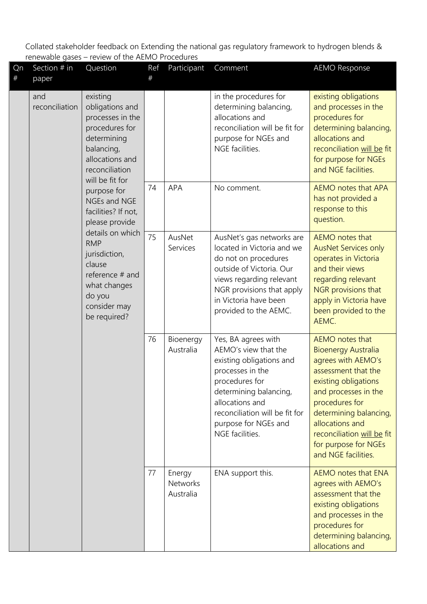| Qn<br># | Section $#$ in<br>paper                                             | Question                                                                                                                            | Ref<br># | Participant                            | Comment                                                                                                                                                                                                                                 | <b>AEMO Response</b>                                                                                                                                                                                                                                                                   |
|---------|---------------------------------------------------------------------|-------------------------------------------------------------------------------------------------------------------------------------|----------|----------------------------------------|-----------------------------------------------------------------------------------------------------------------------------------------------------------------------------------------------------------------------------------------|----------------------------------------------------------------------------------------------------------------------------------------------------------------------------------------------------------------------------------------------------------------------------------------|
|         | and<br>reconciliation                                               | existing<br>obligations and<br>processes in the<br>procedures for<br>determining<br>balancing,<br>allocations and<br>reconciliation |          |                                        | in the procedures for<br>determining balancing,<br>allocations and<br>reconciliation will be fit for<br>purpose for NGEs and<br>NGE facilities.                                                                                         | existing obligations<br>and processes in the<br>procedures for<br>determining balancing,<br>allocations and<br>reconciliation will be fit<br>for purpose for NGEs<br>and NGE facilities.                                                                                               |
|         |                                                                     | will be fit for<br>purpose for<br>NGEs and NGE<br>facilities? If not,<br>please provide                                             | 74       | APA                                    | No comment.                                                                                                                                                                                                                             | <b>AEMO notes that APA</b><br>has not provided a<br>response to this<br>question.                                                                                                                                                                                                      |
|         | details on which<br><b>RMP</b><br>jurisdiction,<br>clause<br>do you | reference # and<br>what changes<br>consider may<br>be required?                                                                     | 75       | AusNet<br>Services                     | AusNet's gas networks are<br>located in Victoria and we<br>do not on procedures<br>outside of Victoria. Our<br>views regarding relevant<br>NGR provisions that apply<br>in Victoria have been<br>provided to the AEMC.                  | AEMO notes that<br><b>AusNet Services only</b><br>operates in Victoria<br>and their views<br>regarding relevant<br>NGR provisions that<br>apply in Victoria have<br>been provided to the<br>AEMC.                                                                                      |
|         |                                                                     |                                                                                                                                     | 76       | Bioenergy<br>Australia                 | Yes, BA agrees with<br>AEMO's view that the<br>existing obligations and<br>processes in the<br>procedures for<br>determining balancing,<br>allocations and<br>reconciliation will be fit for<br>purpose for NGEs and<br>NGE facilities. | AEMO notes that<br><b>Bioenergy Australia</b><br>agrees with AEMO's<br>assessment that the<br>existing obligations<br>and processes in the<br>procedures for<br>determining balancing,<br>allocations and<br>reconciliation will be fit<br>for purpose for NGEs<br>and NGE facilities. |
|         |                                                                     |                                                                                                                                     | 77       | Energy<br><b>Networks</b><br>Australia | ENA support this.                                                                                                                                                                                                                       | AEMO notes that ENA<br>agrees with AEMO's<br>assessment that the<br>existing obligations<br>and processes in the<br>procedures for<br>determining balancing,<br>allocations and                                                                                                        |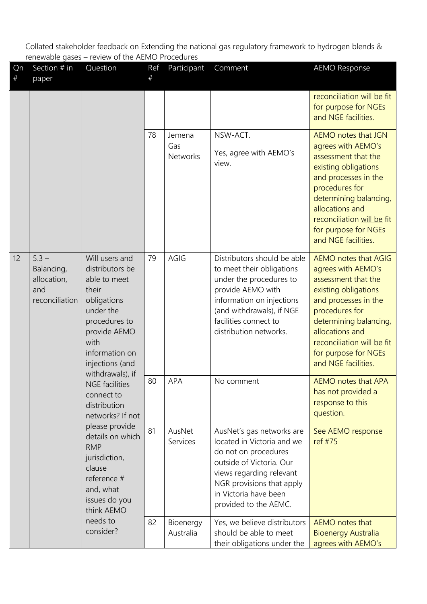| Qn<br>$^{\#}$ | Section # in<br>paper                                                                                                                                                                                                                                                                                                                | Question                                                                                                                               | Ref<br># | Participant                                                                                                                                                                                                           | Comment                                                                                                                                                                                                                                                              | <b>AEMO Response</b>                                                                                                                                                                                                                                         |
|---------------|--------------------------------------------------------------------------------------------------------------------------------------------------------------------------------------------------------------------------------------------------------------------------------------------------------------------------------------|----------------------------------------------------------------------------------------------------------------------------------------|----------|-----------------------------------------------------------------------------------------------------------------------------------------------------------------------------------------------------------------------|----------------------------------------------------------------------------------------------------------------------------------------------------------------------------------------------------------------------------------------------------------------------|--------------------------------------------------------------------------------------------------------------------------------------------------------------------------------------------------------------------------------------------------------------|
|               |                                                                                                                                                                                                                                                                                                                                      |                                                                                                                                        |          |                                                                                                                                                                                                                       |                                                                                                                                                                                                                                                                      | reconciliation will be fit<br>for purpose for NGEs<br>and NGE facilities.                                                                                                                                                                                    |
|               |                                                                                                                                                                                                                                                                                                                                      |                                                                                                                                        | 78       | Jemena<br>Gas<br><b>Networks</b>                                                                                                                                                                                      | NSW-ACT.<br>Yes, agree with AEMO's<br>view.                                                                                                                                                                                                                          | AEMO notes that JGN<br>agrees with AEMO's<br>assessment that the<br>existing obligations<br>and processes in the<br>procedures for<br>determining balancing,<br>allocations and<br>reconciliation will be fit<br>for purpose for NGEs<br>and NGE facilities. |
| 12            | $5.3 -$<br>Will users and<br>Balancing,<br>distributors be<br>allocation,<br>able to meet<br>their<br>and<br>reconciliation<br>obligations<br>under the<br>procedures to<br>provide AEMO<br>with<br>information on<br>injections (and<br>withdrawals), if<br><b>NGE</b> facilities<br>connect to<br>distribution<br>networks? If not | 79                                                                                                                                     | AGIG     | Distributors should be able<br>to meet their obligations<br>under the procedures to<br>provide AEMO with<br>information on injections<br>(and withdrawals), if NGE<br>facilities connect to<br>distribution networks. | <b>AEMO notes that AGIG</b><br>agrees with AEMO's<br>assessment that the<br>existing obligations<br>and processes in the<br>procedures for<br>determining balancing,<br>allocations and<br>reconciliation will be fit<br>for purpose for NGEs<br>and NGE facilities. |                                                                                                                                                                                                                                                              |
|               |                                                                                                                                                                                                                                                                                                                                      | please provide<br>details on which<br><b>RMP</b><br>jurisdiction,<br>clause<br>reference #<br>and, what<br>issues do you<br>think AEMO | 80       | <b>APA</b>                                                                                                                                                                                                            | No comment                                                                                                                                                                                                                                                           | AEMO notes that APA<br>has not provided a<br>response to this<br>question.                                                                                                                                                                                   |
|               |                                                                                                                                                                                                                                                                                                                                      |                                                                                                                                        | 81       | AusNet<br>Services                                                                                                                                                                                                    | AusNet's gas networks are<br>located in Victoria and we<br>do not on procedures<br>outside of Victoria. Our<br>views regarding relevant<br>NGR provisions that apply<br>in Victoria have been<br>provided to the AEMC.                                               | See AEMO response<br>ref #75                                                                                                                                                                                                                                 |
|               |                                                                                                                                                                                                                                                                                                                                      | needs to<br>consider?                                                                                                                  | 82       | Bioenergy<br>Australia                                                                                                                                                                                                | Yes, we believe distributors<br>should be able to meet<br>their obligations under the                                                                                                                                                                                | <b>AEMO</b> notes that<br><b>Bioenergy Australia</b><br>agrees with AEMO's                                                                                                                                                                                   |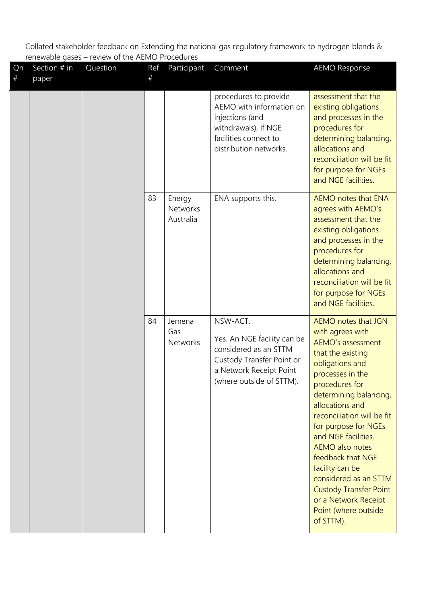| Qn<br>$\#$ | Section # in<br>paper | Question | Ref<br># | Participant                            | Comment                                                                                                                                              | <b>AEMO Response</b>                                                                                                                                                                                                                                                                                                                                                                                                                                                 |
|------------|-----------------------|----------|----------|----------------------------------------|------------------------------------------------------------------------------------------------------------------------------------------------------|----------------------------------------------------------------------------------------------------------------------------------------------------------------------------------------------------------------------------------------------------------------------------------------------------------------------------------------------------------------------------------------------------------------------------------------------------------------------|
|            |                       |          |          |                                        | procedures to provide<br>AEMO with information on<br>injections (and<br>withdrawals), if NGE<br>facilities connect to<br>distribution networks.      | assessment that the<br>existing obligations<br>and processes in the<br>procedures for<br>determining balancing,<br>allocations and<br>reconciliation will be fit<br>for purpose for NGEs<br>and NGE facilities.                                                                                                                                                                                                                                                      |
|            |                       |          | 83       | Energy<br><b>Networks</b><br>Australia | ENA supports this.                                                                                                                                   | AEMO notes that ENA<br>agrees with AEMO's<br>assessment that the<br>existing obligations<br>and processes in the<br>procedures for<br>determining balancing,<br>allocations and<br>reconciliation will be fit<br>for purpose for NGEs<br>and NGE facilities.                                                                                                                                                                                                         |
|            |                       |          | 84       | Jemena<br>Gas<br><b>Networks</b>       | NSW-ACT.<br>Yes. An NGE facility can be<br>considered as an STTM<br>Custody Transfer Point or<br>a Network Receipt Point<br>(where outside of STTM). | AEMO notes that JGN<br>with agrees with<br><b>AEMO's assessment</b><br>that the existing<br>obligations and<br>processes in the<br>procedures for<br>determining balancing,<br>allocations and<br>reconciliation will be fit<br>for purpose for NGEs<br>and NGE facilities.<br><b>AEMO</b> also notes<br>feedback that NGE<br>facility can be<br>considered as an STTM<br><b>Custody Transfer Point</b><br>or a Network Receipt<br>Point (where outside<br>of STTM). |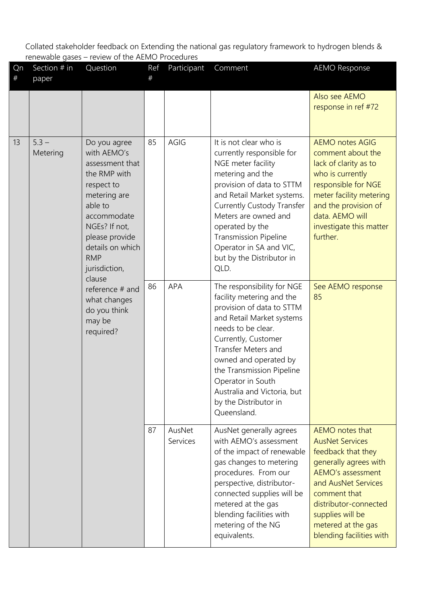| Qn<br># | Section # in<br>paper                                                                                                                                                                                                                                                                                        | Question | Ref<br>#           | Participant                                                                                                                                                                                                                                                                                                                              | Comment                                                                                                                                                                                                                                             | <b>AEMO Response</b>                 |
|---------|--------------------------------------------------------------------------------------------------------------------------------------------------------------------------------------------------------------------------------------------------------------------------------------------------------------|----------|--------------------|------------------------------------------------------------------------------------------------------------------------------------------------------------------------------------------------------------------------------------------------------------------------------------------------------------------------------------------|-----------------------------------------------------------------------------------------------------------------------------------------------------------------------------------------------------------------------------------------------------|--------------------------------------|
|         |                                                                                                                                                                                                                                                                                                              |          |                    |                                                                                                                                                                                                                                                                                                                                          |                                                                                                                                                                                                                                                     | Also see AEMO<br>response in ref #72 |
| 13      | Do you agree<br>with AEMO's<br>Metering<br>assessment that<br>the RMP with<br>respect to<br>metering are<br>able to<br>accommodate<br>NGEs? If not,<br>please provide<br>details on which<br><b>RMP</b><br>jurisdiction,<br>clause<br>reference # and<br>what changes<br>do you think<br>may be<br>required? | 85       | AGIG               | It is not clear who is<br>currently responsible for<br>NGE meter facility<br>metering and the<br>provision of data to STTM<br>and Retail Market systems.<br><b>Currently Custody Transfer</b><br>Meters are owned and<br>operated by the<br><b>Transmission Pipeline</b><br>Operator in SA and VIC,<br>but by the Distributor in<br>QLD. | <b>AEMO notes AGIG</b><br>comment about the<br>lack of clarity as to<br>who is currently<br>responsible for NGE<br>meter facility metering<br>and the provision of<br>data. AEMO will<br>investigate this matter<br>further.                        |                                      |
|         |                                                                                                                                                                                                                                                                                                              | 86       | <b>APA</b>         | The responsibility for NGE<br>facility metering and the<br>provision of data to STTM<br>and Retail Market systems<br>needs to be clear.<br>Currently, Customer<br>Transfer Meters and<br>owned and operated by<br>the Transmission Pipeline<br>Operator in South<br>Australia and Victoria, but<br>by the Distributor in<br>Queensland.  | See AEMO response<br>85                                                                                                                                                                                                                             |                                      |
|         |                                                                                                                                                                                                                                                                                                              | 87       | AusNet<br>Services | AusNet generally agrees<br>with AEMO's assessment<br>of the impact of renewable<br>gas changes to metering<br>procedures. From our<br>perspective, distributor-<br>connected supplies will be<br>metered at the gas<br>blending facilities with<br>metering of the NG<br>equivalents.                                                    | AEMO notes that<br><b>AusNet Services</b><br>feedback that they<br>generally agrees with<br>AEMO's assessment<br>and AusNet Services<br>comment that<br>distributor-connected<br>supplies will be<br>metered at the gas<br>blending facilities with |                                      |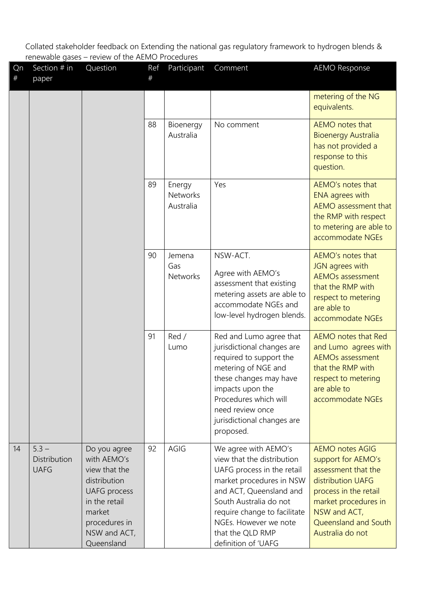| Qn<br>$^{\#}$ | Section $#$ in<br>paper                | Question                                                                                                                                                      | Ref<br>$\#$            | Participant                      | Comment                                                                                                                                                                                                                                                               | <b>AEMO Response</b>                                                                                                                                                                                  |
|---------------|----------------------------------------|---------------------------------------------------------------------------------------------------------------------------------------------------------------|------------------------|----------------------------------|-----------------------------------------------------------------------------------------------------------------------------------------------------------------------------------------------------------------------------------------------------------------------|-------------------------------------------------------------------------------------------------------------------------------------------------------------------------------------------------------|
|               |                                        |                                                                                                                                                               |                        |                                  |                                                                                                                                                                                                                                                                       | metering of the NG<br>equivalents.                                                                                                                                                                    |
|               |                                        | 88                                                                                                                                                            | Bioenergy<br>Australia | No comment                       | AEMO notes that<br><b>Bioenergy Australia</b><br>has not provided a<br>response to this<br>question.                                                                                                                                                                  |                                                                                                                                                                                                       |
|               |                                        |                                                                                                                                                               | 89                     | Energy<br>Networks<br>Australia  | Yes                                                                                                                                                                                                                                                                   | AEMO's notes that<br><b>ENA</b> agrees with<br>AEMO assessment that<br>the RMP with respect<br>to metering are able to<br>accommodate NGEs                                                            |
|               |                                        |                                                                                                                                                               | 90                     | Jemena<br>Gas<br><b>Networks</b> | NSW-ACT.<br>Agree with AEMO's<br>assessment that existing<br>metering assets are able to<br>accommodate NGEs and<br>low-level hydrogen blends.                                                                                                                        | AEMO's notes that<br>JGN agrees with<br><b>AEMOs assessment</b><br>that the RMP with<br>respect to metering<br>are able to<br>accommodate NGEs                                                        |
|               |                                        |                                                                                                                                                               | 91                     | Red /<br>Lumo                    | Red and Lumo agree that<br>jurisdictional changes are<br>required to support the<br>metering of NGE and<br>these changes may have<br>impacts upon the<br>Procedures which will<br>need review once<br>jurisdictional changes are<br>proposed.                         | <b>AEMO</b> notes that Red<br>and Lumo agrees with<br><b>AEMOs assessment</b><br>that the RMP with<br>respect to metering<br>are able to<br>accommodate NGEs                                          |
| 14            | $5.3 -$<br>Distribution<br><b>UAFG</b> | Do you agree<br>with AEMO's<br>view that the<br>distribution<br><b>UAFG</b> process<br>in the retail<br>market<br>procedures in<br>NSW and ACT,<br>Queensland | 92                     | AGIG                             | We agree with AEMO's<br>view that the distribution<br>UAFG process in the retail<br>market procedures in NSW<br>and ACT, Queensland and<br>South Australia do not<br>require change to facilitate<br>NGEs. However we note<br>that the QLD RMP<br>definition of 'UAFG | <b>AEMO notes AGIG</b><br>support for AEMO's<br>assessment that the<br>distribution UAFG<br>process in the retail<br>market procedures in<br>NSW and ACT,<br>Queensland and South<br>Australia do not |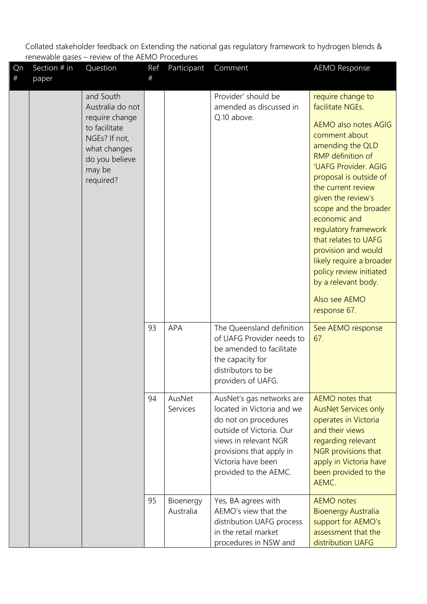| Qn<br>$\#$ | Section $#$ in<br>paper | Question                                                                                                                                   | Ref<br># | Participant            | Comment                                                                                                                                                                                                         | <b>AEMO Response</b>                                                                                                                                                                                                                                                                                                                                                                                                                                               |
|------------|-------------------------|--------------------------------------------------------------------------------------------------------------------------------------------|----------|------------------------|-----------------------------------------------------------------------------------------------------------------------------------------------------------------------------------------------------------------|--------------------------------------------------------------------------------------------------------------------------------------------------------------------------------------------------------------------------------------------------------------------------------------------------------------------------------------------------------------------------------------------------------------------------------------------------------------------|
|            |                         | and South<br>Australia do not<br>require change<br>to facilitate<br>NGEs? If not,<br>what changes<br>do you believe<br>may be<br>required? |          |                        | Provider' should be<br>amended as discussed in<br>Q.10 above.                                                                                                                                                   | require change to<br>facilitate NGEs.<br><b>AEMO also notes AGIG</b><br>comment about<br>amending the QLD<br><b>RMP</b> definition of<br>'UAFG Provider. AGIG<br>proposal is outside of<br>the current review<br>given the review's<br>scope and the broader<br>economic and<br>regulatory framework<br>that relates to UAFG<br>provision and would<br>likely require a broader<br>policy review initiated<br>by a relevant body.<br>Also see AEMO<br>response 67. |
|            |                         |                                                                                                                                            | 93       | <b>APA</b>             | The Queensland definition<br>of UAFG Provider needs to<br>be amended to facilitate<br>the capacity for<br>distributors to be<br>providers of UAFG.                                                              | See AEMO response<br>67.                                                                                                                                                                                                                                                                                                                                                                                                                                           |
|            |                         |                                                                                                                                            | 94       | AusNet<br>Services     | AusNet's gas networks are<br>located in Victoria and we<br>do not on procedures<br>outside of Victoria. Our<br>views in relevant NGR<br>provisions that apply in<br>Victoria have been<br>provided to the AEMC. | AEMO notes that<br><b>AusNet Services only</b><br>operates in Victoria<br>and their views<br>regarding relevant<br>NGR provisions that<br>apply in Victoria have<br>been provided to the<br>AEMC.                                                                                                                                                                                                                                                                  |
|            |                         |                                                                                                                                            | 95       | Bioenergy<br>Australia | Yes, BA agrees with<br>AEMO's view that the<br>distribution UAFG process<br>in the retail market<br>procedures in NSW and                                                                                       | <b>AEMO</b> notes<br><b>Bioenergy Australia</b><br>support for AEMO's<br>assessment that the<br>distribution UAFG                                                                                                                                                                                                                                                                                                                                                  |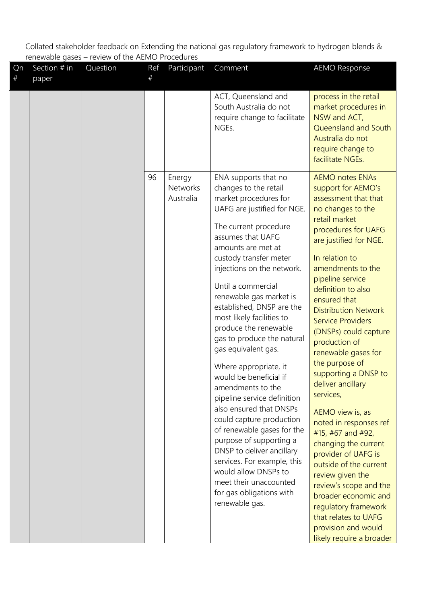| Qn<br># | Section # in<br>paper | Question | Ref<br># | Participant                     | Comment                                                                                                                                                                                                                                                                                                                                                                                                                                                                                                                                                                                                                                                                                                                                                                                                       | <b>AEMO Response</b>                                                                                                                                                                                                                                                                                                                                                                                                                                                                                                                                                                                                                                                                                                                                                                      |
|---------|-----------------------|----------|----------|---------------------------------|---------------------------------------------------------------------------------------------------------------------------------------------------------------------------------------------------------------------------------------------------------------------------------------------------------------------------------------------------------------------------------------------------------------------------------------------------------------------------------------------------------------------------------------------------------------------------------------------------------------------------------------------------------------------------------------------------------------------------------------------------------------------------------------------------------------|-------------------------------------------------------------------------------------------------------------------------------------------------------------------------------------------------------------------------------------------------------------------------------------------------------------------------------------------------------------------------------------------------------------------------------------------------------------------------------------------------------------------------------------------------------------------------------------------------------------------------------------------------------------------------------------------------------------------------------------------------------------------------------------------|
|         |                       |          |          |                                 | ACT, Queensland and<br>South Australia do not<br>require change to facilitate<br>NGEs.                                                                                                                                                                                                                                                                                                                                                                                                                                                                                                                                                                                                                                                                                                                        | process in the retail<br>market procedures in<br>NSW and ACT,<br>Queensland and South<br>Australia do not<br>require change to<br>facilitate NGEs.                                                                                                                                                                                                                                                                                                                                                                                                                                                                                                                                                                                                                                        |
|         |                       |          | 96       | Energy<br>Networks<br>Australia | ENA supports that no<br>changes to the retail<br>market procedures for<br>UAFG are justified for NGE.<br>The current procedure<br>assumes that UAFG<br>amounts are met at<br>custody transfer meter<br>injections on the network.<br>Until a commercial<br>renewable gas market is<br>established, DNSP are the<br>most likely facilities to<br>produce the renewable<br>gas to produce the natural<br>gas equivalent gas.<br>Where appropriate, it<br>would be beneficial if<br>amendments to the<br>pipeline service definition<br>also ensured that DNSPs<br>could capture production<br>of renewable gases for the<br>purpose of supporting a<br>DNSP to deliver ancillary<br>services. For example, this<br>would allow DNSPs to<br>meet their unaccounted<br>for gas obligations with<br>renewable gas. | <b>AEMO notes ENAs</b><br>support for AEMO's<br>assessment that that<br>no changes to the<br>retail market<br>procedures for UAFG<br>are justified for NGE.<br>In relation to<br>amendments to the<br>pipeline service<br>definition to also<br>ensured that<br><b>Distribution Network</b><br><b>Service Providers</b><br>(DNSPs) could capture<br>production of<br>renewable gases for<br>the purpose of<br>supporting a DNSP to<br>deliver ancillary<br>services,<br>AEMO view is, as<br>noted in responses ref<br>#15, #67 and #92,<br>changing the current<br>provider of UAFG is<br>outside of the current<br>review given the<br>review's scope and the<br>broader economic and<br>regulatory framework<br>that relates to UAFG<br>provision and would<br>likely require a broader |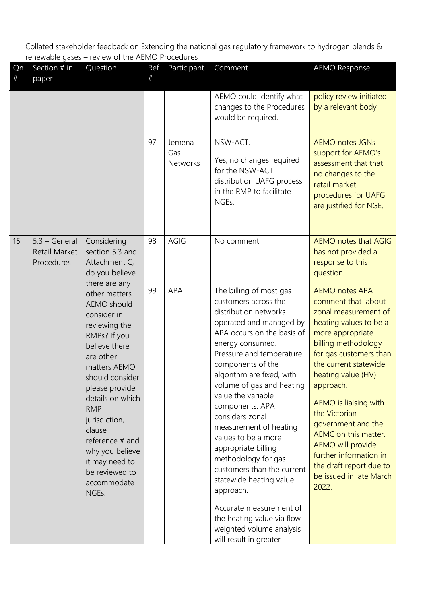| Qn<br>$\#$ | Section # in<br>paper                          | Question                                                                                                                                                                                                                                                                                                                       | Ref<br># | Participant               | Comment                                                                                                                                                                                                                                                                                                                                                                                                                                                                                                                                                                                                          | <b>AEMO Response</b>                                                                                                                                                                                                                                                                                                                                                                                                                        |
|------------|------------------------------------------------|--------------------------------------------------------------------------------------------------------------------------------------------------------------------------------------------------------------------------------------------------------------------------------------------------------------------------------|----------|---------------------------|------------------------------------------------------------------------------------------------------------------------------------------------------------------------------------------------------------------------------------------------------------------------------------------------------------------------------------------------------------------------------------------------------------------------------------------------------------------------------------------------------------------------------------------------------------------------------------------------------------------|---------------------------------------------------------------------------------------------------------------------------------------------------------------------------------------------------------------------------------------------------------------------------------------------------------------------------------------------------------------------------------------------------------------------------------------------|
|            |                                                |                                                                                                                                                                                                                                                                                                                                |          |                           | AEMO could identify what<br>changes to the Procedures<br>would be required.                                                                                                                                                                                                                                                                                                                                                                                                                                                                                                                                      | policy review initiated<br>by a relevant body                                                                                                                                                                                                                                                                                                                                                                                               |
|            |                                                |                                                                                                                                                                                                                                                                                                                                | 97       | Jemena<br>Gas<br>Networks | NSW-ACT.<br>Yes, no changes required<br>for the NSW-ACT<br>distribution UAFG process<br>in the RMP to facilitate<br>NGEs.                                                                                                                                                                                                                                                                                                                                                                                                                                                                                        | <b>AEMO notes JGNs</b><br>support for AEMO's<br>assessment that that<br>no changes to the<br>retail market<br>procedures for UAFG<br>are justified for NGE.                                                                                                                                                                                                                                                                                 |
| 15         | $5.3 - General$<br>Retail Market<br>Procedures | Considering<br>section 5.3 and<br>Attachment C,<br>do you believe<br>there are any                                                                                                                                                                                                                                             | 98       | AGIG                      | No comment.                                                                                                                                                                                                                                                                                                                                                                                                                                                                                                                                                                                                      | <b>AEMO notes that AGIG</b><br>has not provided a<br>response to this<br>question.                                                                                                                                                                                                                                                                                                                                                          |
|            |                                                | other matters<br>AEMO should<br>consider in<br>reviewing the<br>RMPs? If you<br>believe there<br>are other<br>matters AEMO<br>should consider<br>please provide<br>details on which<br><b>RMP</b><br>jurisdiction,<br>clause<br>reference # and<br>why you believe<br>it may need to<br>be reviewed to<br>accommodate<br>NGEs. | 99       | APA                       | The billing of most gas<br>customers across the<br>distribution networks<br>operated and managed by<br>APA occurs on the basis of<br>energy consumed.<br>Pressure and temperature<br>components of the<br>algorithm are fixed, with<br>volume of gas and heating<br>value the variable<br>components. APA<br>considers zonal<br>measurement of heating<br>values to be a more<br>appropriate billing<br>methodology for gas<br>customers than the current<br>statewide heating value<br>approach.<br>Accurate measurement of<br>the heating value via flow<br>weighted volume analysis<br>will result in greater | <b>AEMO notes APA</b><br>comment that about<br>zonal measurement of<br>heating values to be a<br>more appropriate<br>billing methodology<br>for gas customers than<br>the current statewide<br>heating value (HV)<br>approach.<br>AEMO is liaising with<br>the Victorian<br>government and the<br>AEMC on this matter.<br><b>AEMO</b> will provide<br>further information in<br>the draft report due to<br>be issued in late March<br>2022. |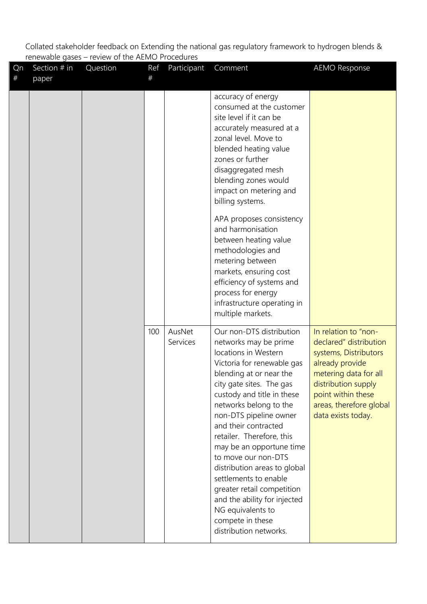| Qn<br>$\#$ | Section # in<br>paper | Question | Ref<br># | Participant        | Comment                                                                                                                                                                                                                                                                                                                                                                                                                                                                                                                                            | <b>AEMO Response</b>                                                                                                                                                                                              |
|------------|-----------------------|----------|----------|--------------------|----------------------------------------------------------------------------------------------------------------------------------------------------------------------------------------------------------------------------------------------------------------------------------------------------------------------------------------------------------------------------------------------------------------------------------------------------------------------------------------------------------------------------------------------------|-------------------------------------------------------------------------------------------------------------------------------------------------------------------------------------------------------------------|
|            |                       |          |          |                    | accuracy of energy<br>consumed at the customer<br>site level if it can be<br>accurately measured at a<br>zonal level. Move to<br>blended heating value<br>zones or further<br>disaggregated mesh<br>blending zones would<br>impact on metering and<br>billing systems.<br>APA proposes consistency<br>and harmonisation<br>between heating value<br>methodologies and<br>metering between<br>markets, ensuring cost<br>efficiency of systems and<br>process for energy<br>infrastructure operating in<br>multiple markets.                         |                                                                                                                                                                                                                   |
|            |                       |          | 100      | AusNet<br>Services | Our non-DTS distribution<br>networks may be prime<br>locations in Western<br>Victoria for renewable gas<br>blending at or near the<br>city gate sites. The gas<br>custody and title in these<br>networks belong to the<br>non-DTS pipeline owner<br>and their contracted<br>retailer. Therefore, this<br>may be an opportune time<br>to move our non-DTS<br>distribution areas to global<br>settlements to enable<br>greater retail competition<br>and the ability for injected<br>NG equivalents to<br>compete in these<br>distribution networks. | In relation to "non-<br>declared" distribution<br>systems, Distributors<br>already provide<br>metering data for all<br>distribution supply<br>point within these<br>areas, therefore global<br>data exists today. |